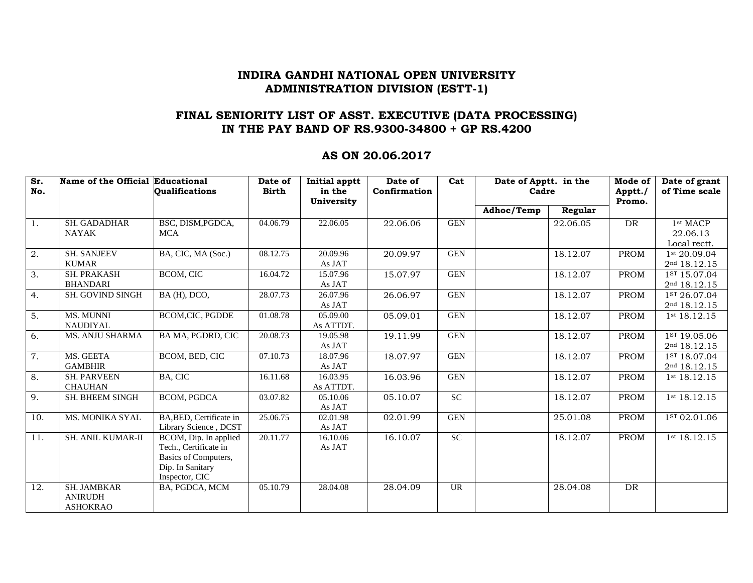### **FINAL SENIORITY LIST OF ASST. EXECUTIVE (DATA PROCESSING) IN THE PAY BAND OF RS.9300-34800 + GP RS.4200**

#### **AS ON 20.06.2017**

| Sr.<br>No. | Name of the Official Educational                 | <b>Oualifications</b>                                                                                        | Date of<br><b>Birth</b> | <b>Initial apptt</b><br>in the | Date of<br>Confirmation | Cat        | Date of Apptt. in the<br>Cadre |          | Mode of<br>Apptt./ | Date of grant<br>of Time scale           |
|------------|--------------------------------------------------|--------------------------------------------------------------------------------------------------------------|-------------------------|--------------------------------|-------------------------|------------|--------------------------------|----------|--------------------|------------------------------------------|
|            |                                                  |                                                                                                              |                         | University                     |                         |            |                                |          | Promo.             |                                          |
|            |                                                  |                                                                                                              |                         |                                |                         |            | Adhoc/Temp                     | Regular  |                    |                                          |
| 1.         | <b>SH. GADADHAR</b><br><b>NAYAK</b>              | BSC, DISM, PGDCA,<br><b>MCA</b>                                                                              | 04.06.79                | 22.06.05                       | 22.06.06                | <b>GEN</b> |                                | 22.06.05 | DR                 | 1st MACP<br>22.06.13<br>Local rectt.     |
| 2.         | <b>SH. SANJEEV</b><br><b>KUMAR</b>               | BA, CIC, MA (Soc.)                                                                                           | 08.12.75                | 20.09.96<br>As JAT             | 20.09.97                | <b>GEN</b> |                                | 18.12.07 | <b>PROM</b>        | 1st 20.09.04<br>2nd 18.12.15             |
| 3.         | <b>SH. PRAKASH</b><br><b>BHANDARI</b>            | BCOM, CIC                                                                                                    | 16.04.72                | 15.07.96<br>As JAT             | 15.07.97                | <b>GEN</b> |                                | 18.12.07 | PROM               | 1st 15.07.04<br>2 <sup>nd</sup> 18.12.15 |
| 4.         | SH. GOVIND SINGH                                 | BA (H), DCO,                                                                                                 | 28.07.73                | 26.07.96<br>As JAT             | 26.06.97                | <b>GEN</b> |                                | 18.12.07 | <b>PROM</b>        | 1st 26.07.04<br>2 <sup>nd</sup> 18.12.15 |
| 5.         | <b>MS. MUNNI</b><br><b>NAUDIYAL</b>              | <b>BCOM.CIC. PGDDE</b>                                                                                       | 01.08.78                | 05.09.00<br>As ATTDT.          | 05.09.01                | <b>GEN</b> |                                | 18.12.07 | <b>PROM</b>        | 1st 18.12.15                             |
| 6.         | <b>MS. ANJU SHARMA</b>                           | BA MA, PGDRD, CIC                                                                                            | 20.08.73                | 19.05.98<br>As JAT             | 19.11.99                | <b>GEN</b> |                                | 18.12.07 | <b>PROM</b>        | 1st 19.05.06<br>2nd 18.12.15             |
| 7.         | MS. GEETA<br><b>GAMBHIR</b>                      | BCOM, BED, CIC                                                                                               | 07.10.73                | 18.07.96<br>As JAT             | 18.07.97                | <b>GEN</b> |                                | 18.12.07 | <b>PROM</b>        | 1ST 18.07.04<br>2 <sup>nd</sup> 18.12.15 |
| 8.         | <b>SH. PARVEEN</b><br><b>CHAUHAN</b>             | <b>BA, CIC</b>                                                                                               | 16.11.68                | 16.03.95<br>As ATTDT.          | 16.03.96                | <b>GEN</b> |                                | 18.12.07 | <b>PROM</b>        | 1 <sup>st</sup> 18.12.15                 |
| 9.         | SH. BHEEM SINGH                                  | <b>BCOM, PGDCA</b>                                                                                           | 03.07.82                | 05.10.06<br>As JAT             | 05.10.07                | <b>SC</b>  |                                | 18.12.07 | <b>PROM</b>        | 1st 18.12.15                             |
| 10.        | <b>MS. MONIKA SYAL</b>                           | BA, BED, Certificate in<br>Library Science, DCST                                                             | 25.06.75                | 02.01.98<br>As JAT             | 02.01.99                | <b>GEN</b> |                                | 25.01.08 | <b>PROM</b>        | 1ST 02.01.06                             |
| 11.        | SH. ANIL KUMAR-II                                | BCOM, Dip. In applied<br>Tech., Certificate in<br>Basics of Computers,<br>Dip. In Sanitary<br>Inspector, CIC | 20.11.77                | 16.10.06<br>As JAT             | 16.10.07                | <b>SC</b>  |                                | 18.12.07 | <b>PROM</b>        | 1st 18.12.15                             |
| 12.        | SH. JAMBKAR<br><b>ANIRUDH</b><br><b>ASHOKRAO</b> | BA, PGDCA, MCM                                                                                               | 05.10.79                | 28.04.08                       | 28.04.09                | UR         |                                | 28.04.08 | DR                 |                                          |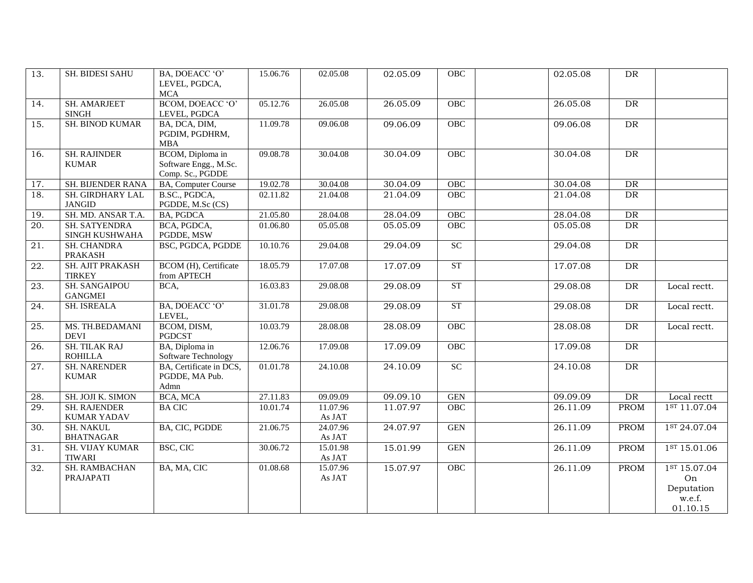| $\overline{13}$ . | SH. BIDESI SAHU                           | BA, DOEACC 'O'<br>LEVEL, PGDCA,<br><b>MCA</b>                 | 15.06.76 | 02.05.08           | 02.05.09 | OBC                  | 02.05.08 | DR          |                                                        |
|-------------------|-------------------------------------------|---------------------------------------------------------------|----------|--------------------|----------|----------------------|----------|-------------|--------------------------------------------------------|
| $\overline{14}$ . | <b>SH. AMARJEET</b><br><b>SINGH</b>       | BCOM, DOEACC 'O'<br>LEVEL, PGDCA                              | 05.12.76 | 26.05.08           | 26.05.09 | OBC                  | 26.05.08 | DR          |                                                        |
| 15.               | <b>SH. BINOD KUMAR</b>                    | BA, DCA, DIM,<br>PGDIM, PGDHRM,<br>MBA                        | 11.09.78 | 09.06.08           | 09.06.09 | OBC                  | 09.06.08 | DR          |                                                        |
| 16.               | <b>SH. RAJINDER</b><br><b>KUMAR</b>       | BCOM, Diploma in<br>Software Engg., M.Sc.<br>Comp. Sc., PGDDE | 09.08.78 | 30.04.08           | 30.04.09 | OBC                  | 30.04.08 | DR          |                                                        |
| 17.               | SH. BIJENDER RANA                         | <b>BA, Computer Course</b>                                    | 19.02.78 | 30.04.08           | 30.04.09 | OBC                  | 30.04.08 | DR          |                                                        |
| 18.               | SH. GIRDHARY LAL<br><b>JANGID</b>         | B.SC., PGDCA,<br>PGDDE, M.Sc (CS)                             | 02.11.82 | 21.04.08           | 21.04.09 | OBC                  | 21.04.08 | DR          |                                                        |
| 19.               | SH. MD. ANSAR T.A.                        | <b>BA, PGDCA</b>                                              | 21.05.80 | 28.04.08           | 28.04.09 | OBC                  | 28.04.08 | DR          |                                                        |
| 20.               | <b>SH. SATYENDRA</b><br>SINGH KUSHWAHA    | BCA, PGDCA,<br>PGDDE, MSW                                     | 01.06.80 | 05.05.08           | 05.05.09 | OBC                  | 05.05.08 | DR          |                                                        |
| $\overline{21}$ . | <b>SH. CHANDRA</b><br><b>PRAKASH</b>      | BSC, PGDCA, PGDDE                                             | 10.10.76 | 29.04.08           | 29.04.09 | SC                   | 29.04.08 | DR          |                                                        |
| 22.               | SH. AJIT PRAKASH<br><b>TIRKEY</b>         | BCOM (H), Certificate<br>from APTECH                          | 18.05.79 | 17.07.08           | 17.07.09 | ST                   | 17.07.08 | DR          |                                                        |
| 23.               | <b>SH. SANGAIPOU</b><br><b>GANGMEI</b>    | BCA,                                                          | 16.03.83 | 29.08.08           | 29.08.09 | ST                   | 29.08.08 | DR          | Local rectt.                                           |
| $\overline{24}$ . | <b>SH. ISREALA</b>                        | BA, DOEACC 'O'<br>LEVEL,                                      | 31.01.78 | 29.08.08           | 29.08.09 | ST                   | 29.08.08 | DR          | Local rectt.                                           |
| 25.               | MS. TH.BEDAMANI<br><b>DEVI</b>            | BCOM, DISM,<br><b>PGDCST</b>                                  | 10.03.79 | 28.08.08           | 28.08.09 | OBC                  | 28.08.08 | DR          | Local rectt.                                           |
| 26.               | <b>SH. TILAK RAJ</b><br><b>ROHILLA</b>    | BA, Diploma in<br>Software Technology                         | 12.06.76 | 17.09.08           | 17.09.09 | OBC                  | 17.09.08 | DR          |                                                        |
| $\overline{27}$ . | <b>SH. NARENDER</b><br><b>KUMAR</b>       | BA, Certificate in DCS,<br>PGDDE, MA Pub.<br>Admn             | 01.01.78 | 24.10.08           | 24.10.09 | SC                   | 24.10.08 | DR          |                                                        |
| 28.               | SH. JOJI K. SIMON                         | BCA, MCA                                                      | 27.11.83 | 09.09.09           | 09.09.10 | $\operatorname{GEN}$ | 09.09.09 | DR          | Local rectt                                            |
| $\overline{29}$ . | <b>SH. RAJENDER</b><br><b>KUMAR YADAV</b> | <b>BACIC</b>                                                  | 10.01.74 | 11.07.96<br>As JAT | 11.07.97 | OBC                  | 26.11.09 | <b>PROM</b> | 1ST 11.07.04                                           |
| 30.               | <b>SH. NAKUL</b><br><b>BHATNAGAR</b>      | BA, CIC, PGDDE                                                | 21.06.75 | 24.07.96<br>As JAT | 24.07.97 | $\operatorname{GEN}$ | 26.11.09 | <b>PROM</b> | 1ST 24.07.04                                           |
| 31.               | <b>SH. VIJAY KUMAR</b><br><b>TIWARI</b>   | BSC, CIC                                                      | 30.06.72 | 15.01.98<br>As JAT | 15.01.99 | <b>GEN</b>           | 26.11.09 | <b>PROM</b> | 1st 15.01.06                                           |
| 32.               | SH. RAMBACHAN<br>PRAJAPATI                | BA, MA, CIC                                                   | 01.08.68 | 15.07.96<br>As JAT | 15.07.97 | OBC                  | 26.11.09 | <b>PROM</b> | 1st 15.07.04<br>On<br>Deputation<br>w.e.f.<br>01.10.15 |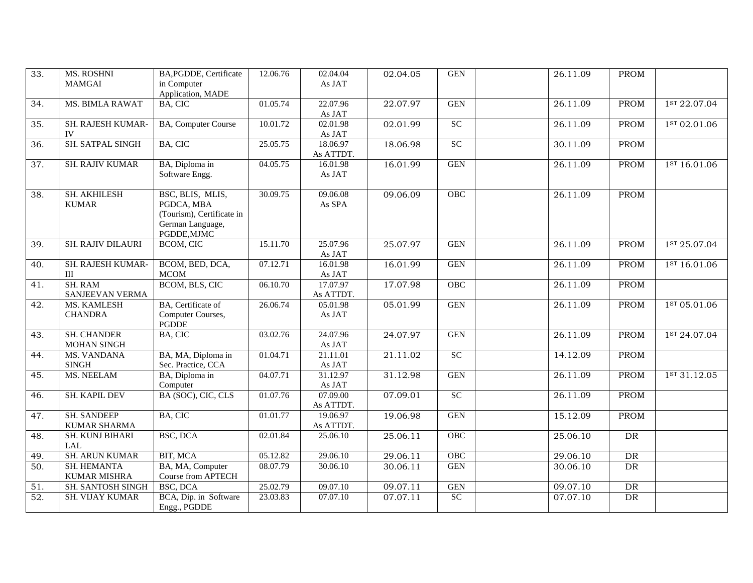| 33.               | <b>MS. ROSHNI</b>        | BA, PGDDE, Certificate         | 12.06.76 | 02.04.04           | 02.04.05 | <b>GEN</b> | 26.11.09 | <b>PROM</b> |                          |
|-------------------|--------------------------|--------------------------------|----------|--------------------|----------|------------|----------|-------------|--------------------------|
|                   | <b>MAMGAI</b>            | in Computer                    |          | As JAT             |          |            |          |             |                          |
|                   |                          | Application, MADE              |          |                    |          |            |          |             |                          |
| 34.               | <b>MS. BIMLA RAWAT</b>   | BA, CIC                        | 01.05.74 | 22.07.96           | 22.07.97 | <b>GEN</b> | 26.11.09 | PROM        | 1ST 22.07.04             |
|                   | SH. RAJESH KUMAR-        |                                | 10.01.72 | As JAT<br>02.01.98 |          | SC         |          |             |                          |
| $\overline{35}$ . | IV                       | BA, Computer Course            |          | As JAT             | 02.01.99 |            | 26.11.09 | <b>PROM</b> | 1ST 02.01.06             |
| $\overline{36}$ . | SH. SATPAL SINGH         | BA, CIC                        | 25.05.75 | 18.06.97           | 18.06.98 | SC         | 30.11.09 | PROM        |                          |
|                   |                          |                                |          | As ATTDT.          |          |            |          |             |                          |
| $\overline{37}$ . | <b>SH. RAJIV KUMAR</b>   | BA, Diploma in                 | 04.05.75 | 16.01.98           | 16.01.99 | <b>GEN</b> | 26.11.09 | PROM        | 1st 16.01.06             |
|                   |                          | Software Engg.                 |          | As JAT             |          |            |          |             |                          |
|                   |                          |                                |          |                    |          |            |          |             |                          |
| 38.               | SH. AKHILESH             | BSC, BLIS, MLIS,               | 30.09.75 | 09.06.08           | 09.06.09 | OBC        | 26.11.09 | PROM        |                          |
|                   | <b>KUMAR</b>             | PGDCA, MBA                     |          | As SPA             |          |            |          |             |                          |
|                   |                          | (Tourism), Certificate in      |          |                    |          |            |          |             |                          |
|                   |                          | German Language,               |          |                    |          |            |          |             |                          |
|                   |                          | PGDDE, MJMC                    |          |                    |          |            |          |             |                          |
| $\overline{39}$ . | <b>SH. RAJIV DILAURI</b> | <b>BCOM, CIC</b>               | 15.11.70 | 25.07.96           | 25.07.97 | <b>GEN</b> | 26.11.09 | <b>PROM</b> | 1st 25.07.04             |
| 40.               | SH. RAJESH KUMAR-        | BCOM, BED, DCA,                | 07.12.71 | As JAT<br>16.01.98 | 16.01.99 | <b>GEN</b> | 26.11.09 | <b>PROM</b> | 1st 16.01.06             |
|                   | III                      | <b>MCOM</b>                    |          | As JAT             |          |            |          |             |                          |
| 41.               | <b>SH. RAM</b>           | BCOM, BLS, CIC                 | 06.10.70 | 17.07.97           | 17.07.98 | OBC        | 26.11.09 | <b>PROM</b> |                          |
|                   | SANJEEVAN VERMA          |                                |          | As ATTDT.          |          |            |          |             |                          |
| 42.               | MS. KAMLESH              | BA, Certificate of             | 26.06.74 | 05.01.98           | 05.01.99 | <b>GEN</b> | 26.11.09 | <b>PROM</b> | 1ST 05.01.06             |
|                   | <b>CHANDRA</b>           | Computer Courses,              |          | As JAT             |          |            |          |             |                          |
|                   |                          | <b>PGDDE</b>                   |          |                    |          |            |          |             |                          |
| 43.               | <b>SH. CHANDER</b>       | BA, CIC                        | 03.02.76 | 24.07.96           | 24.07.97 | <b>GEN</b> | 26.11.09 | <b>PROM</b> | 1ST 24.07.04             |
|                   | MOHAN SINGH              |                                |          | As JAT             |          |            |          |             |                          |
| 44.               | <b>MS. VANDANA</b>       | BA, MA, Diploma in             | 01.04.71 | 21.11.01           | 21.11.02 | <b>SC</b>  | 14.12.09 | <b>PROM</b> |                          |
|                   | <b>SINGH</b>             | Sec. Practice, CCA             |          | As JAT             |          |            |          |             |                          |
| 45.               | <b>MS. NEELAM</b>        | BA, Diploma in                 | 04.07.71 | 31.12.97           | 31.12.98 | <b>GEN</b> | 26.11.09 | PROM        | 1 <sup>ST</sup> 31.12.05 |
| 46.               | <b>SH. KAPIL DEV</b>     | Computer<br>BA (SOC), CIC, CLS | 01.07.76 | As JAT<br>07.09.00 | 07.09.01 | SC         | 26.11.09 | PROM        |                          |
|                   |                          |                                |          | As ATTDT.          |          |            |          |             |                          |
| 47.               | <b>SH. SANDEEP</b>       | BA, CIC                        | 01.01.77 | 19.06.97           | 19.06.98 | <b>GEN</b> | 15.12.09 | PROM        |                          |
|                   | KUMAR SHARMA             |                                |          | As ATTDT.          |          |            |          |             |                          |
| 48.               | <b>SH. KUNJ BIHARI</b>   | BSC, DCA                       | 02.01.84 | 25.06.10           | 25.06.11 | OBC        | 25.06.10 | DR          |                          |
|                   | LAL                      |                                |          |                    |          |            |          |             |                          |
| 49.               | <b>SH. ARUN KUMAR</b>    | BIT, MCA                       | 05.12.82 | 29.06.10           | 29.06.11 | OBC        | 29.06.10 | DR          |                          |
| 50.               | SH. HEMANTA              | BA, MA, Computer               | 08.07.79 | 30.06.10           | 30.06.11 | <b>GEN</b> | 30.06.10 | <b>DR</b>   |                          |
|                   | <b>KUMAR MISHRA</b>      | Course from APTECH             |          |                    |          |            |          |             |                          |
| 51.               | <b>SH. SANTOSH SINGH</b> | BSC, DCA                       | 25.02.79 | 09.07.10           | 09.07.11 | <b>GEN</b> | 09.07.10 | DR          |                          |
| $\overline{52}$ . | <b>SH. VIJAY KUMAR</b>   | BCA, Dip. in Software          | 23.03.83 | 07.07.10           | 07.07.11 | SC         | 07.07.10 | DR          |                          |
|                   |                          | Engg., PGDDE                   |          |                    |          |            |          |             |                          |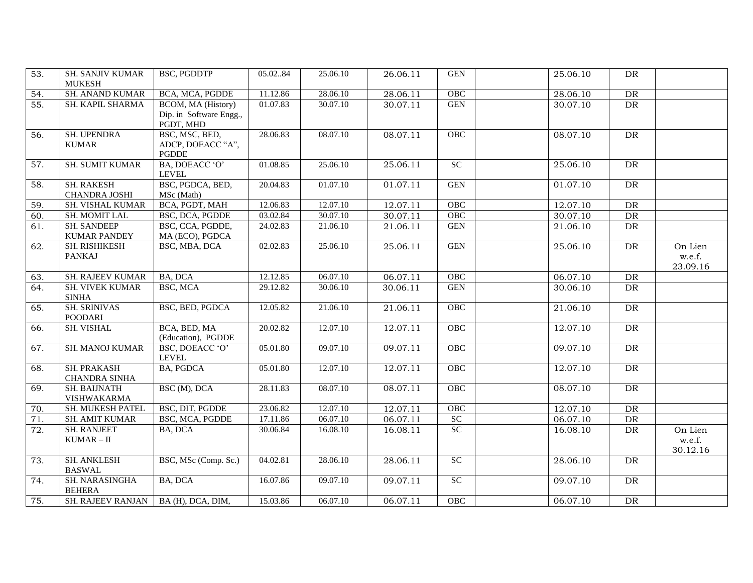| 53.              | <b>SH. SANJIV KUMAR</b><br><b>MUKESH</b>  | BSC, PGDDTP                                                | 05.0284  | 25.06.10 | 26.06.11 | <b>GEN</b>           | 25.06.10 | <b>DR</b> |                               |
|------------------|-------------------------------------------|------------------------------------------------------------|----------|----------|----------|----------------------|----------|-----------|-------------------------------|
| 54.              | <b>SH. ANAND KUMAR</b>                    | BCA, MCA, PGDDE                                            | 11.12.86 | 28.06.10 | 28.06.11 | OBC                  | 28.06.10 | DR        |                               |
| 55.              | SH. KAPIL SHARMA                          | BCOM, MA (History)<br>Dip. in Software Engg.,<br>PGDT, MHD | 01.07.83 | 30.07.10 | 30.07.11 | <b>GEN</b>           | 30.07.10 | DR        |                               |
| 56.              | SH. UPENDRA<br><b>KUMAR</b>               | BSC, MSC, BED,<br>ADCP, DOEACC "A",<br><b>PGDDE</b>        | 28.06.83 | 08.07.10 | 08.07.11 | OBC                  | 08.07.10 | DR        |                               |
| 57.              | <b>SH. SUMIT KUMAR</b>                    | BA, DOEACC 'O'<br><b>LEVEL</b>                             | 01.08.85 | 25.06.10 | 25.06.11 | $\overline{SC}$      | 25.06.10 | DR        |                               |
| 58.              | <b>SH. RAKESH</b><br><b>CHANDRA JOSHI</b> | BSC, PGDCA, BED,<br>MSc (Math)                             | 20.04.83 | 01.07.10 | 01.07.11 | <b>GEN</b>           | 01.07.10 | DR        |                               |
| 59.              | SH. VISHAL KUMAR                          | BCA, PGDT, MAH                                             | 12.06.83 | 12.07.10 | 12.07.11 | OBC                  | 12.07.10 | DR        |                               |
| 60.              | <b>SH. MOMIT LAL</b>                      | BSC, DCA, PGDDE                                            | 03.02.84 | 30.07.10 | 30.07.11 | OBC                  | 30.07.10 | DR        |                               |
| 61.              | <b>SH. SANDEEP</b><br><b>KUMAR PANDEY</b> | BSC, CCA, PGDDE,<br>MA (ECO), PGDCA                        | 24.02.83 | 21.06.10 | 21.06.11 | $\operatorname{GEN}$ | 21.06.10 | DR        |                               |
| 62.              | SH. RISHIKESH<br><b>PANKAJ</b>            | BSC, MBA, DCA                                              | 02.02.83 | 25.06.10 | 25.06.11 | <b>GEN</b>           | 25.06.10 | DR        | On Lien<br>w.e.f.<br>23.09.16 |
| 63.              | <b>SH. RAJEEV KUMAR</b>                   | BA, DCA                                                    | 12.12.85 | 06.07.10 | 06.07.11 | OBC                  | 06.07.10 | DR        |                               |
| 64.              | <b>SH. VIVEK KUMAR</b><br><b>SINHA</b>    | BSC, MCA                                                   | 29.12.82 | 30.06.10 | 30.06.11 | $\operatorname{GEN}$ | 30.06.10 | DR        |                               |
| 65.              | <b>SH. SRINIVAS</b><br><b>POODARI</b>     | BSC, BED, PGDCA                                            | 12.05.82 | 21.06.10 | 21.06.11 | OBC                  | 21.06.10 | DR        |                               |
| 66.              | SH. VISHAL                                | BCA, BED, MA<br>(Education), PGDDE                         | 20.02.82 | 12.07.10 | 12.07.11 | <b>OBC</b>           | 12.07.10 | <b>DR</b> |                               |
| 67.              | <b>SH. MANOJ KUMAR</b>                    | BSC, DOEACC 'O'<br><b>LEVEL</b>                            | 05.01.80 | 09.07.10 | 09.07.11 | OBC                  | 09.07.10 | DR        |                               |
| 68.              | SH. PRAKASH<br><b>CHANDRA SINHA</b>       | <b>BA, PGDCA</b>                                           | 05.01.80 | 12.07.10 | 12.07.11 | OBC                  | 12.07.10 | <b>DR</b> |                               |
| 69.              | <b>SH. BAIJNATH</b><br>VISHWAKARMA        | BSC (M), DCA                                               | 28.11.83 | 08.07.10 | 08.07.11 | OBC                  | 08.07.10 | DR        |                               |
| 70.              | SH. MUKESH PATEL                          | BSC, DIT, PGDDE                                            | 23.06.82 | 12.07.10 | 12.07.11 | OBC                  | 12.07.10 | DR        |                               |
| 71.              | <b>SH. AMIT KUMAR</b>                     | BSC, MCA, PGDDE                                            | 17.11.86 | 06.07.10 | 06.07.11 | SC                   | 06.07.10 | DR        |                               |
| $\overline{72.}$ | <b>SH. RANJEET</b><br>$KUMAR - II$        | BA, DCA                                                    | 30.06.84 | 16.08.10 | 16.08.11 | SC                   | 16.08.10 | DR        | On Lien<br>w.e.f.<br>30.12.16 |
| 73.              | <b>SH. ANKLESH</b><br><b>BASWAL</b>       | BSC, MSc (Comp. Sc.)                                       | 04.02.81 | 28.06.10 | 28.06.11 | SC                   | 28.06.10 | DR        |                               |
| 74.              | SH. NARASINGHA<br><b>BEHERA</b>           | BA, DCA                                                    | 16.07.86 | 09.07.10 | 09.07.11 | SC                   | 09.07.10 | DR        |                               |
| 75.              | <b>SH. RAJEEV RANJAN</b>                  | BA (H), DCA, DIM,                                          | 15.03.86 | 06.07.10 | 06.07.11 | OBC                  | 06.07.10 | <b>DR</b> |                               |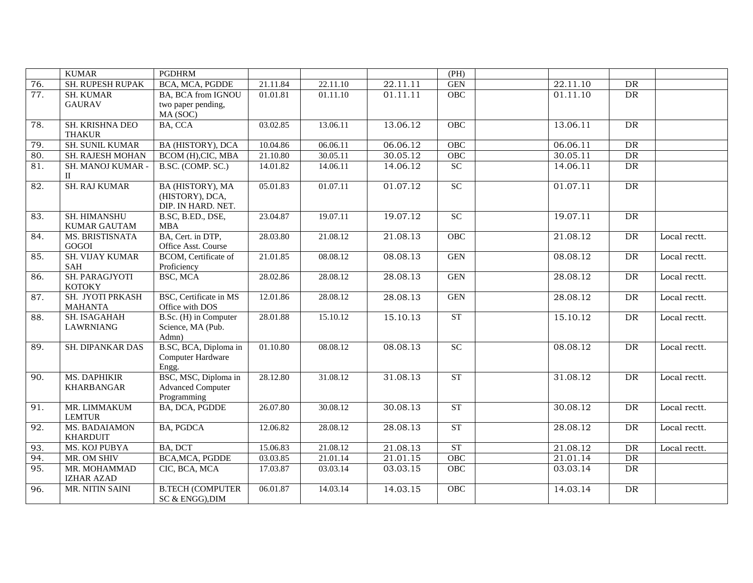|                   | <b>KUMAR</b>                      | <b>PGDHRM</b>            |          |                       |          | (PH)       |          |            |              |
|-------------------|-----------------------------------|--------------------------|----------|-----------------------|----------|------------|----------|------------|--------------|
| 76.               | SH. RUPESH RUPAK                  | BCA, MCA, PGDDE          | 21.11.84 | 22.11.10              | 22.11.11 | <b>GEN</b> | 22.11.10 | ${\rm DR}$ |              |
| $\overline{77}$ . | <b>SH. KUMAR</b>                  | BA, BCA from IGNOU       | 01.01.81 | $\overline{01.11.10}$ | 01.11.11 | <b>OBC</b> | 01.11.10 | DR         |              |
|                   | <b>GAURAV</b>                     | two paper pending,       |          |                       |          |            |          |            |              |
|                   |                                   | MA (SOC)                 |          |                       |          |            |          |            |              |
| 78.               | SH. KRISHNA DEO                   | BA, CCA                  | 03.02.85 | 13.06.11              | 13.06.12 | OBC        | 13.06.11 | DR         |              |
|                   | <b>THAKUR</b>                     |                          |          |                       |          |            |          |            |              |
| 79.               | <b>SH. SUNIL KUMAR</b>            | BA (HISTORY), DCA        | 10.04.86 | 06.06.11              | 06.06.12 | OBC        | 06.06.11 | DR         |              |
| 80.               | SH. RAJESH MOHAN                  | BCOM (H), CIC, MBA       | 21.10.80 | 30.05.11              | 30.05.12 | <b>OBC</b> | 30.05.11 | ${\rm DR}$ |              |
| 81.               | SH. MANOJ KUMAR -<br>$\mathbf{I}$ | B.SC. (COMP. SC.)        | 14.01.82 | 14.06.11              | 14.06.12 | SC         | 14.06.11 | DR         |              |
| 82.               | <b>SH. RAJ KUMAR</b>              | BA (HISTORY), MA         | 05.01.83 | 01.07.11              | 01.07.12 | SC         | 01.07.11 | DR         |              |
|                   |                                   | (HISTORY), DCA,          |          |                       |          |            |          |            |              |
|                   |                                   | DIP. IN HARD. NET.       |          |                       |          |            |          |            |              |
| 83.               | SH. HIMANSHU                      | B.SC, B.ED., DSE,        | 23.04.87 | 19.07.11              | 19.07.12 | SC         | 19.07.11 | ${\rm DR}$ |              |
|                   | <b>KUMAR GAUTAM</b>               | <b>MBA</b>               |          |                       |          |            |          |            |              |
| 84.               | MS. BRISTISNATA                   | BA, Cert. in DTP,        | 28.03.80 | 21.08.12              | 21.08.13 | OBC        | 21.08.12 | DR         | Local rectt. |
|                   | GOGOI                             | Office Asst. Course      |          |                       |          |            |          |            |              |
| 85.               | <b>SH. VIJAY KUMAR</b>            | BCOM, Certificate of     | 21.01.85 | 08.08.12              | 08.08.13 | <b>GEN</b> | 08.08.12 | DR         | Local rectt. |
|                   | SAH                               | Proficiency              |          |                       |          |            |          |            |              |
| 86.               | SH. PARAGJYOTI<br><b>KOTOKY</b>   | BSC, MCA                 | 28.02.86 | 28.08.12              | 28.08.13 | <b>GEN</b> | 28.08.12 | DR         | Local rectt. |
| 87.               | SH. JYOTI PRKASH                  | BSC, Certificate in MS   | 12.01.86 | 28.08.12              | 28.08.13 | <b>GEN</b> | 28.08.12 | DR         | Local rectt. |
|                   | <b>MAHANTA</b>                    | Office with DOS          |          |                       |          |            |          |            |              |
| 88.               | SH. ISAGAHAH                      | B.Sc. (H) in Computer    | 28.01.88 | 15.10.12              | 15.10.13 | ST         | 15.10.12 | DR         | Local rectt. |
|                   | <b>LAWRNIANG</b>                  | Science, MA (Pub.        |          |                       |          |            |          |            |              |
|                   |                                   | Admn)                    |          |                       |          |            |          |            |              |
| 89.               | <b>SH. DIPANKAR DAS</b>           | B.SC, BCA, Diploma in    | 01.10.80 | 08.08.12              | 08.08.13 | SC         | 08.08.12 | DR         | Local rectt. |
|                   |                                   | Computer Hardware        |          |                       |          |            |          |            |              |
|                   |                                   | Engg.                    |          |                       |          |            |          |            |              |
| 90.               | MS. DAPHIKIR                      | BSC, MSC, Diploma in     | 28.12.80 | 31.08.12              | 31.08.13 | ST         | 31.08.12 | DR         | Local rectt. |
|                   | <b>KHARBANGAR</b>                 | <b>Advanced Computer</b> |          |                       |          |            |          |            |              |
|                   |                                   | Programming              |          |                       |          |            |          |            |              |
| 91.               | MR. LIMMAKUM<br><b>LEMTUR</b>     | BA, DCA, PGDDE           | 26.07.80 | 30.08.12              | 30.08.13 | ST         | 30.08.12 | DR         | Local rectt. |
| 92.               | <b>MS. BADAIAMON</b>              | <b>BA, PGDCA</b>         | 12.06.82 | 28.08.12              | 28.08.13 | ST         | 28.08.12 | DR         | Local rectt. |
|                   | <b>KHARDUIT</b>                   |                          |          |                       |          |            |          |            |              |
| 93.               | <b>MS. KOJ PUBYA</b>              | BA, DCT                  | 15.06.83 | 21.08.12              | 21.08.13 | ST         | 21.08.12 | DR         | Local rectt. |
| 94.               | MR. OM SHIV                       | BCA, MCA, PGDDE          | 03.03.85 | 21.01.14              | 21.01.15 | <b>OBC</b> | 21.01.14 | DR         |              |
| 95.               | MR. MOHAMMAD                      | CIC, BCA, MCA            | 17.03.87 | 03.03.14              | 03.03.15 | OBC        | 03.03.14 | DR         |              |
|                   | <b>IZHAR AZAD</b>                 |                          |          |                       |          |            |          |            |              |
| 96.               | MR. NITIN SAINI                   | <b>B.TECH (COMPUTER</b>  | 06.01.87 | 14.03.14              | 14.03.15 | <b>OBC</b> | 14.03.14 | DR         |              |
|                   |                                   | SC & ENGG), DIM          |          |                       |          |            |          |            |              |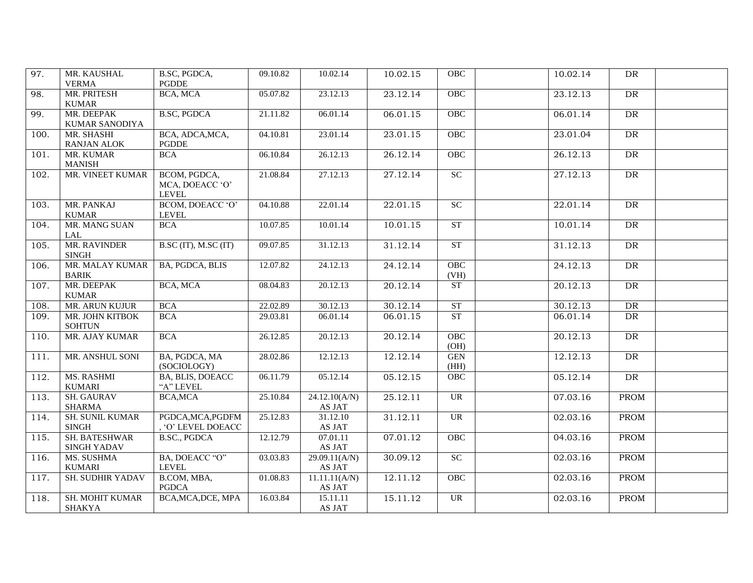| 97.  | MR. KAUSHAL<br><b>VERMA</b>         | B.SC, PGDCA,<br><b>PGDDE</b>                    | 09.10.82 | 10.02.14                | 10.02.15 | OBC                               | 10.02.14 | DR        |  |
|------|-------------------------------------|-------------------------------------------------|----------|-------------------------|----------|-----------------------------------|----------|-----------|--|
| 98.  | MR. PRITESH<br><b>KUMAR</b>         | BCA, MCA                                        | 05.07.82 | 23.12.13                | 23.12.14 | OBC                               | 23.12.13 | <b>DR</b> |  |
| 99.  | MR. DEEPAK<br>KUMAR SANODIYA        | <b>B.SC, PGDCA</b>                              | 21.11.82 | 06.01.14                | 06.01.15 | OBC                               | 06.01.14 | DR        |  |
| 100. | MR. SHASHI<br>RANJAN ALOK           | BCA, ADCA, MCA,<br>PGDDE                        | 04.10.81 | 23.01.14                | 23.01.15 | OBC                               | 23.01.04 | DR        |  |
| 101. | MR. KUMAR<br><b>MANISH</b>          | <b>BCA</b>                                      | 06.10.84 | 26.12.13                | 26.12.14 | OBC                               | 26.12.13 | DR        |  |
| 102. | MR. VINEET KUMAR                    | BCOM, PGDCA,<br>MCA, DOEACC 'O'<br><b>LEVEL</b> | 21.08.84 | 27.12.13                | 27.12.14 | SC                                | 27.12.13 | DR        |  |
| 103. | MR. PANKAJ<br><b>KUMAR</b>          | BCOM, DOEACC 'O'<br>LEVEL                       | 04.10.88 | 22.01.14                | 22.01.15 | $\overline{SC}$                   | 22.01.14 | DR        |  |
| 104. | MR. MANG SUAN<br>LAL                | <b>BCA</b>                                      | 10.07.85 | 10.01.14                | 10.01.15 | <b>ST</b>                         | 10.01.14 | <b>DR</b> |  |
| 105. | MR. RAVINDER<br><b>SINGH</b>        | $\overline{\text{B.SC (IT)}$ , M.SC (IT)        | 09.07.85 | 31.12.13                | 31.12.14 | <b>ST</b>                         | 31.12.13 | DR        |  |
| 106. | MR. MALAY KUMAR<br><b>BARIK</b>     | BA, PGDCA, BLIS                                 | 12.07.82 | 24.12.13                | 24.12.14 | OBC<br>(VH)                       | 24.12.13 | DR        |  |
| 107. | MR. DEEPAK<br><b>KUMAR</b>          | BCA, MCA                                        | 08.04.83 | 20.12.13                | 20.12.14 | ST                                | 20.12.13 | DR        |  |
| 108. | MR. ARUN KUJUR                      | <b>BCA</b>                                      | 22.02.89 | 30.12.13                | 30.12.14 | ST                                | 30.12.13 | DR        |  |
| 109. | MR. JOHN KITBOK<br><b>SOHTUN</b>    | <b>BCA</b>                                      | 29.03.81 | 06.01.14                | 06.01.15 | <b>ST</b>                         | 06.01.14 | DR        |  |
| 110. | MR. AJAY KUMAR                      | <b>BCA</b>                                      | 26.12.85 | 20.12.13                | 20.12.14 | OBC<br>(OH)                       | 20.12.13 | DR        |  |
| 111. | MR. ANSHUL SONI                     | BA, PGDCA, MA<br>(SOCIOLOGY)                    | 28.02.86 | 12.12.13                | 12.12.14 | <b>GEN</b><br>(HH)                | 12.12.13 | DR        |  |
| 112. | MS. RASHMI<br><b>KUMARI</b>         | BA, BLIS, DOEACC<br>"A" LEVEL                   | 06.11.79 | 05.12.14                | 05.12.15 | OBC                               | 05.12.14 | DR        |  |
| 113. | <b>SH. GAURAV</b><br><b>SHARMA</b>  | BCA, MCA                                        | 25.10.84 | 24.12.10(A/N)<br>AS JAT | 25.12.11 | $\overline{UR}$                   | 07.03.16 | PROM      |  |
| 114. | SH. SUNIL KUMAR<br><b>SINGH</b>     | PGDCA, MCA, PGDFM<br>, 'O' LEVEL DOEACC         | 25.12.83 | 31.12.10<br>AS JAT      | 31.12.11 | <b>UR</b>                         | 02.03.16 | PROM      |  |
| 115. | SH. BATESHWAR<br><b>SINGH YADAV</b> | <b>B.SC., PGDCA</b>                             | 12.12.79 | 07.01.11<br>AS JAT      | 07.01.12 | <b>OBC</b>                        | 04.03.16 | PROM      |  |
| 116. | MS. SUSHMA<br><b>KUMARI</b>         | BA, DOEACC "O"<br><b>LEVEL</b>                  | 03.03.83 | 29.09.11(A/N)<br>AS JAT | 30.09.12 | $\ensuremath{\mathbf{SC}}\xspace$ | 02.03.16 | PROM      |  |
| 117. | SH. SUDHIR YADAV                    | B.COM, MBA,<br><b>PGDCA</b>                     | 01.08.83 | 11.11.11(A/N)<br>AS JAT | 12.11.12 | OBC                               | 02.03.16 | PROM      |  |
| 118. | <b>SH. MOHIT KUMAR</b><br>SHAKYA    | BCA, MCA, DCE, MPA                              | 16.03.84 | 15.11.11<br>AS JAT      | 15.11.12 | <b>UR</b>                         | 02.03.16 | PROM      |  |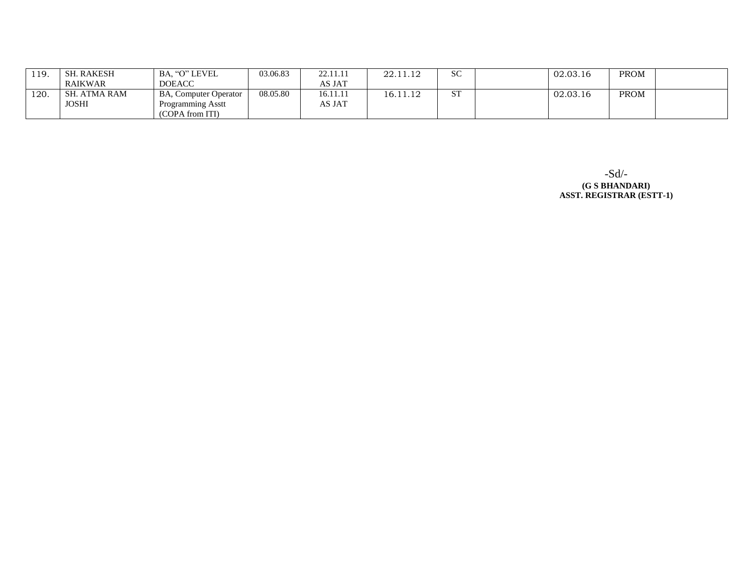| 119. | . RAKESH<br>⊂ C∐ | BA. "O" LEVEL                | 03.06.83 | 22.11.11             | 001110<br>44.11.14 | <b>SC</b>          | 02.03.16 | <b>PROM</b> |  |
|------|------------------|------------------------------|----------|----------------------|--------------------|--------------------|----------|-------------|--|
|      | RAIKWAR          | <b>DOEACC</b>                |          | AS JAT               |                    |                    |          |             |  |
| 120. | ATMA RAM<br>SН   | <b>BA, Computer Operator</b> | 08.05.80 | 16.11.1 <sub>1</sub> | 6.11.12            | $\mathbf{a}$<br>ມ⊥ | 02.03.16 | PROM        |  |
|      | <b>JOSHI</b>     | Programming Asstt            |          | AS JAT               |                    |                    |          |             |  |
|      |                  | (COPA from ITI)              |          |                      |                    |                    |          |             |  |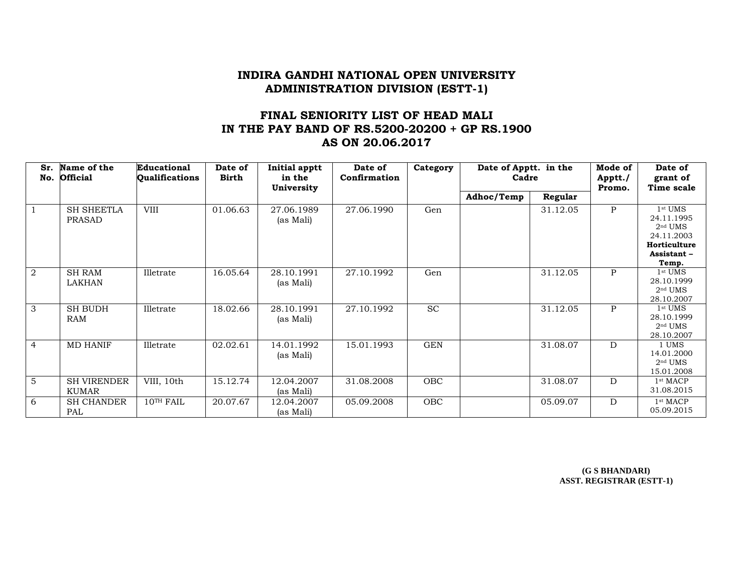# **FINAL SENIORITY LIST OF HEAD MALI IN THE PAY BAND OF RS.5200-20200 + GP RS.1900 AS ON 20.06.2017**

| Sr.            | Name of the<br>No. Official        | Educational<br><b>Qualifications</b> | Date of<br><b>Birth</b> | Initial apptt<br>in the<br>University | Date of<br>Confirmation | Category   | Date of Apptt. in the<br>Cadre |          | Mode of<br>Apptt./<br>Promo. | Date of<br>grant of<br>Time scale                                                         |
|----------------|------------------------------------|--------------------------------------|-------------------------|---------------------------------------|-------------------------|------------|--------------------------------|----------|------------------------------|-------------------------------------------------------------------------------------------|
|                |                                    |                                      |                         |                                       |                         |            | Adhoc/Temp                     | Regular  |                              |                                                                                           |
| $\overline{1}$ | <b>SH SHEETLA</b><br>PRASAD        | <b>VIII</b>                          | 01.06.63                | 27.06.1989<br>(as Mali)               | 27.06.1990              | Gen        |                                | 31.12.05 | $\mathsf{P}$                 | $1st$ UMS<br>24.11.1995<br>$2nd$ UMS<br>24.11.2003<br>Horticulture<br>Assistant-<br>Temp. |
| 2              | <b>SH RAM</b><br>LAKHAN            | Illetrate                            | 16.05.64                | 28.10.1991<br>(as Mali)               | 27.10.1992              | Gen        |                                | 31.12.05 | P                            | $1st$ UMS<br>28.10.1999<br>$2nd$ UMS<br>28.10.2007                                        |
| 3              | <b>SH BUDH</b><br>RAM              | Illetrate                            | 18.02.66                | 28.10.1991<br>(as Mali)               | 27.10.1992              | <b>SC</b>  |                                | 31.12.05 | $\mathbf{P}$                 | $1st$ UMS<br>28.10.1999<br>$2nd$ UMS<br>28.10.2007                                        |
| $\overline{4}$ | <b>MD HANIF</b>                    | Illetrate                            | 02.02.61                | 14.01.1992<br>(as Mali)               | 15.01.1993              | <b>GEN</b> |                                | 31.08.07 | D                            | 1 UMS<br>14.01.2000<br>$2nd$ UMS<br>15.01.2008                                            |
| $\overline{5}$ | <b>SH VIRENDER</b><br><b>KUMAR</b> | VIII, 10th                           | 15.12.74                | 12.04.2007<br>(as Mali)               | 31.08.2008              | <b>OBC</b> |                                | 31.08.07 | D                            | 1 <sup>st</sup> MACP<br>31.08.2015                                                        |
| 6              | <b>SH CHANDER</b><br>PAL           | $10^{TH}$ FAIL                       | 20.07.67                | 12.04.2007<br>(as Mali)               | 05.09.2008              | OBC        |                                | 05.09.07 | D                            | 1 <sup>st</sup> MACP<br>05.09.2015                                                        |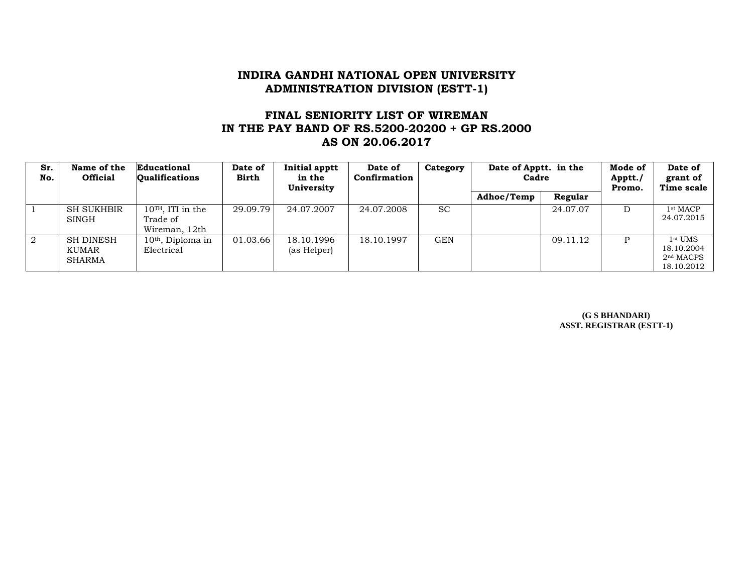# **FINAL SENIORITY LIST OF WIREMAN IN THE PAY BAND OF RS.5200-20200 + GP RS.2000 AS ON 20.06.2017**

| Sr.<br>No. | Name of the<br><b>Official</b>      | Educational<br><b>Oualifications</b>             | Date of<br><b>Birth</b> | <b>Initial apptt</b><br>in the<br>University | Date of<br>Confirmation | Category  | Date of Apptt. in the<br>Cadre |          | Mode of<br>Apptt./<br>Promo. | Date of<br>grant of<br>Time scale                              |
|------------|-------------------------------------|--------------------------------------------------|-------------------------|----------------------------------------------|-------------------------|-----------|--------------------------------|----------|------------------------------|----------------------------------------------------------------|
|            |                                     |                                                  |                         |                                              |                         |           | Adhoc/Temp                     | Regular  |                              |                                                                |
|            | <b>SH SUKHBIR</b><br>SINGH          | $10TH$ , ITI in the<br>Trade of<br>Wireman, 12th | 29.09.79                | 24.07.2007                                   | 24.07.2008              | <b>SC</b> |                                | 24.07.07 | D                            | 1 <sup>st</sup> MACP<br>24.07.2015                             |
| 2          | <b>SH DINESH</b><br>KUMAR<br>SHARMA | $10th$ , Diploma in<br>Electrical                | 01.03.66                | 18.10.1996<br>(as Helper)                    | 18.10.1997              | GEN       |                                | 09.11.12 |                              | $1st$ UMS<br>18.10.2004<br>2 <sup>nd</sup> MACPS<br>18.10.2012 |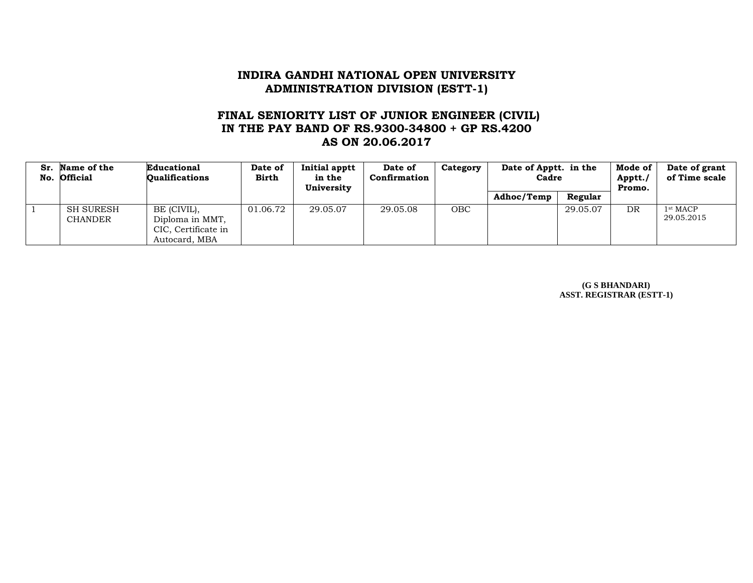## **FINAL SENIORITY LIST OF JUNIOR ENGINEER (CIVIL) IN THE PAY BAND OF RS.9300-34800 + GP RS.4200 AS ON 20.06.2017**

| Sr. Name of the<br>No. Official    | Educational<br>Oualifications                                          | Date of<br>Birth | Initial apptt<br>in the<br>University | Date of<br>Confirmation | Category   | Date of Apptt. in the<br>Cadre |          | Mode of<br>Apptt./<br>Promo. | Date of grant<br>of Time scale     |
|------------------------------------|------------------------------------------------------------------------|------------------|---------------------------------------|-------------------------|------------|--------------------------------|----------|------------------------------|------------------------------------|
|                                    |                                                                        |                  |                                       |                         |            | Adhoc/Temp                     | Regular  |                              |                                    |
| <b>SH SURESH</b><br><b>CHANDER</b> | BE (CIVIL),<br>Diploma in MMT,<br>CIC, Certificate in<br>Autocard, MBA | 01.06.72         | 29.05.07                              | 29.05.08                | <b>OBC</b> |                                | 29.05.07 | <b>DR</b>                    | 1 <sup>st</sup> MACP<br>29.05.2015 |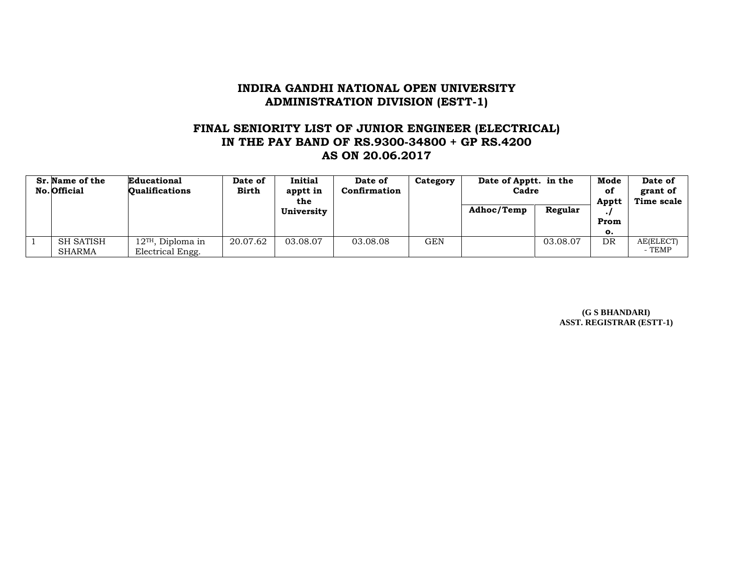#### **FINAL SENIORITY LIST OF JUNIOR ENGINEER (ELECTRICAL) IN THE PAY BAND OF RS.9300-34800 + GP RS.4200 AS ON 20.06.2017**

| Sr. Name of the<br>No. Official | Educational<br><b>Oualifications</b>    | Date of<br><b>Birth</b> | Initial<br>apptt in<br>the | Date of<br>Confirmation | Category   | Date of Apptt. in the<br>Cadre |          | Mode<br>оf<br>Apptt | Date of<br>grant of<br>Time scale |
|---------------------------------|-----------------------------------------|-------------------------|----------------------------|-------------------------|------------|--------------------------------|----------|---------------------|-----------------------------------|
|                                 |                                         |                         | University                 |                         |            | Adhoc/Temp                     | Regular  |                     |                                   |
|                                 |                                         |                         |                            |                         |            |                                |          | Prom                |                                   |
|                                 |                                         |                         |                            |                         |            |                                |          | о.                  |                                   |
| <b>SH SATISH</b><br>SHARMA      | $12TH$ , Diploma in<br>Electrical Engg. | 20.07.62                | 03.08.07                   | 03.08.08                | <b>GEN</b> |                                | 03.08.07 | DR                  | AE(ELECT)<br>- TEMP               |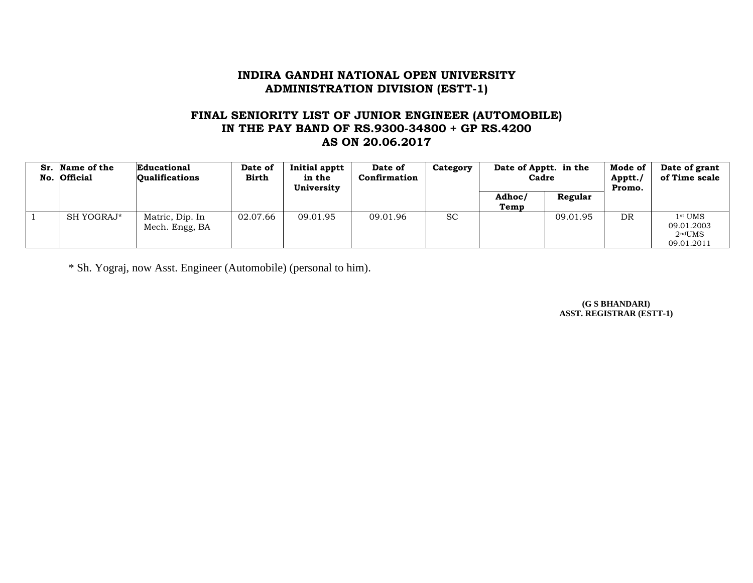## **FINAL SENIORITY LIST OF JUNIOR ENGINEER (AUTOMOBILE) IN THE PAY BAND OF RS.9300-34800 + GP RS.4200 AS ON 20.06.2017**

| Sr. | Name of the<br>No. Official | Educational<br><b>Qualifications</b> | Date of<br><b>Birth</b> | Initial apptt<br>in the<br>University | Date of<br>Confirmation | Category  | Date of Apptt. in the<br>Cadre |          | Mode of<br>Apptt./<br>Promo. | Date of grant<br>of Time scale                               |
|-----|-----------------------------|--------------------------------------|-------------------------|---------------------------------------|-------------------------|-----------|--------------------------------|----------|------------------------------|--------------------------------------------------------------|
|     |                             |                                      |                         |                                       |                         |           | Adhoc/<br>Temp                 | Regular  |                              |                                                              |
|     | SH YOGRAJ*                  | Matric, Dip. In<br>Mech. Engg, BA    | 02.07.66                | 09.01.95                              | 09.01.96                | <b>SC</b> |                                | 09.01.95 | DR                           | $1st$ UMS<br>09.01.2003<br>$2^{\text{nd}}$ UMS<br>09.01.2011 |

\* Sh. Yograj, now Asst. Engineer (Automobile) (personal to him).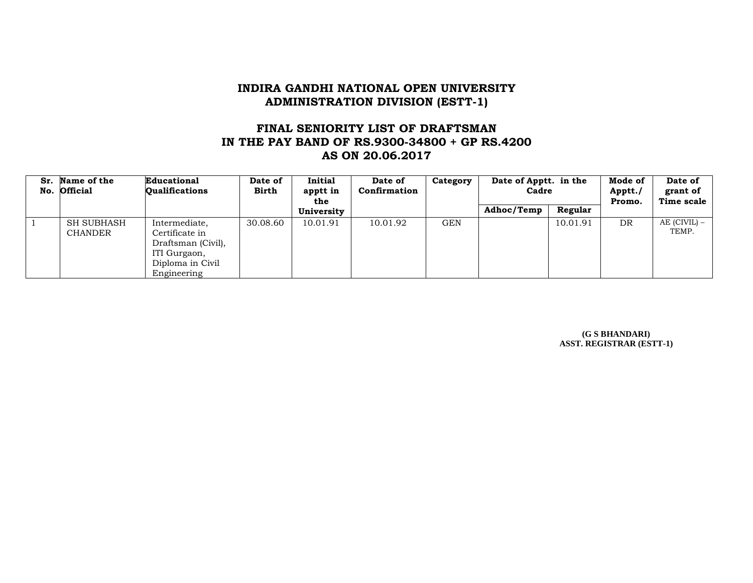### **FINAL SENIORITY LIST OF DRAFTSMAN IN THE PAY BAND OF RS.9300-34800 + GP RS.4200 AS ON 20.06.2017**

| Sr. | <b>Name of the</b><br>No. Official  | Educational<br><b>Qualifications</b>                                                                     | Date of<br><b>Birth</b> | Initial<br>apptt in<br>the | Date of<br>Confirmation | Category   | Date of Apptt. in the<br>Cadre |          | Mode of<br>Apptt./<br>Promo. | Date of<br>grant of<br>Time scale |
|-----|-------------------------------------|----------------------------------------------------------------------------------------------------------|-------------------------|----------------------------|-------------------------|------------|--------------------------------|----------|------------------------------|-----------------------------------|
|     |                                     |                                                                                                          |                         | University                 |                         |            | Adhoc/Temp                     | Regular  |                              |                                   |
|     | <b>SH SUBHASH</b><br><b>CHANDER</b> | Intermediate,<br>Certificate in<br>Draftsman (Civil),<br>ITI Gurgaon,<br>Diploma in Civil<br>Engineering | 30.08.60                | 10.01.91                   | 10.01.92                | <b>GEN</b> |                                | 10.01.91 | DR                           | AE (CIVIL) –<br>TEMP.             |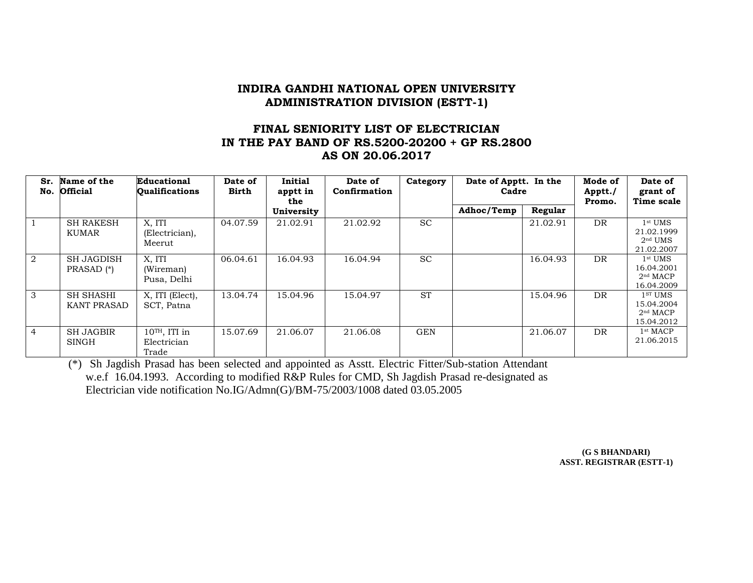## **FINAL SENIORITY LIST OF ELECTRICIAN IN THE PAY BAND OF RS.5200-20200 + GP RS.2800 AS ON 20.06.2017**

| Sr.<br>No.     | Name of the<br><b>Official</b>             | Educational<br><b>Qualifications</b>    | Date of<br><b>Birth</b> | <b>Initial</b><br>apptt in<br>the | Date of<br>Confirmation | Category   | Date of Apptt. In the<br>Cadre |          | Mode of<br>Apptt./<br>Promo. | Date of<br>grant of<br>Time scale                                       |
|----------------|--------------------------------------------|-----------------------------------------|-------------------------|-----------------------------------|-------------------------|------------|--------------------------------|----------|------------------------------|-------------------------------------------------------------------------|
|                |                                            |                                         |                         | University                        |                         |            | Adhoc/Temp                     | Regular  |                              |                                                                         |
|                | <b>SH RAKESH</b><br>KUMAR                  | X, ITI<br>(Electrician),<br>Meerut      | 04.07.59                | 21.02.91                          | 21.02.92                | <b>SC</b>  |                                | 21.02.91 | DR                           | $1st$ UMS<br>21.02.1999<br>$2nd$ UMS<br>21.02.2007                      |
| 2              | <b>SH JAGDISH</b><br>PRASAD <sup>(*)</sup> | X, ITI<br>(Wireman)<br>Pusa, Delhi      | 06.04.61                | 16.04.93                          | 16.04.94                | <b>SC</b>  |                                | 16.04.93 | DR                           | $1st$ UMS<br>16.04.2001<br>2 <sup>nd</sup> MACP<br>16.04.2009           |
| 3              | SH SHASHI<br><b>KANT PRASAD</b>            | X, ITI (Elect),<br>SCT, Patna           | 13.04.74                | 15.04.96                          | 15.04.97                | <b>ST</b>  |                                | 15.04.96 | DR                           | 1 <sup>ST</sup> UMS<br>15.04.2004<br>2 <sup>nd</sup> MACP<br>15.04.2012 |
| $\overline{4}$ | <b>SH JAGBIR</b><br><b>SINGH</b>           | $10TH$ , ITI in<br>Electrician<br>Trade | 15.07.69                | 21.06.07                          | 21.06.08                | <b>GEN</b> |                                | 21.06.07 | DR                           | 1 <sup>st</sup> MACP<br>21.06.2015                                      |

(\*) Sh Jagdish Prasad has been selected and appointed as Asstt. Electric Fitter/Sub-station Attendant w.e.f 16.04.1993. According to modified R&P Rules for CMD, Sh Jagdish Prasad re-designated as Electrician vide notification No.IG/Admn(G)/BM-75/2003/1008 dated 03.05.2005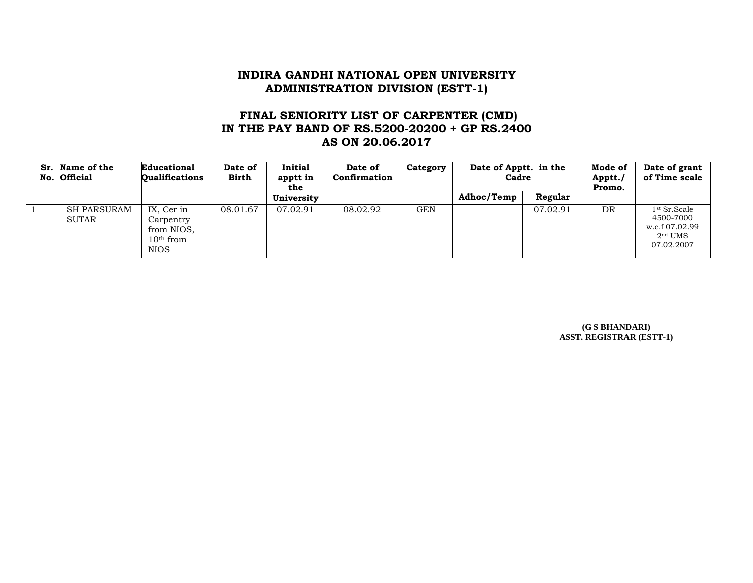## **FINAL SENIORITY LIST OF CARPENTER (CMD) IN THE PAY BAND OF RS.5200-20200 + GP RS.2400 AS ON 20.06.2017**

| Sr. Name of the<br>No. Official | <b>Educational</b><br><b>Qualifications</b>                         | Date of<br>Birth | Initial<br>apptt in<br>the | Date of<br>Confirmation | Category | Date of Apptt. in the<br>Cadre |          | Mode of<br>Apptt./<br>Promo. | Date of grant<br>of Time scale                                            |
|---------------------------------|---------------------------------------------------------------------|------------------|----------------------------|-------------------------|----------|--------------------------------|----------|------------------------------|---------------------------------------------------------------------------|
|                                 |                                                                     |                  | University                 |                         |          | Adhoc/Temp                     | Regular  |                              |                                                                           |
| SH PARSURAM<br><b>SUTAR</b>     | IX, Cer in<br>Carpentry<br>from NIOS.<br>$10th$ from<br><b>NIOS</b> | 08.01.67         | 07.02.91                   | 08.02.92                | GEN      |                                | 07.02.91 | DR.                          | $1st$ Sr. Scale<br>4500-7000<br>w.e.f 07.02.99<br>$2nd$ UMS<br>07.02.2007 |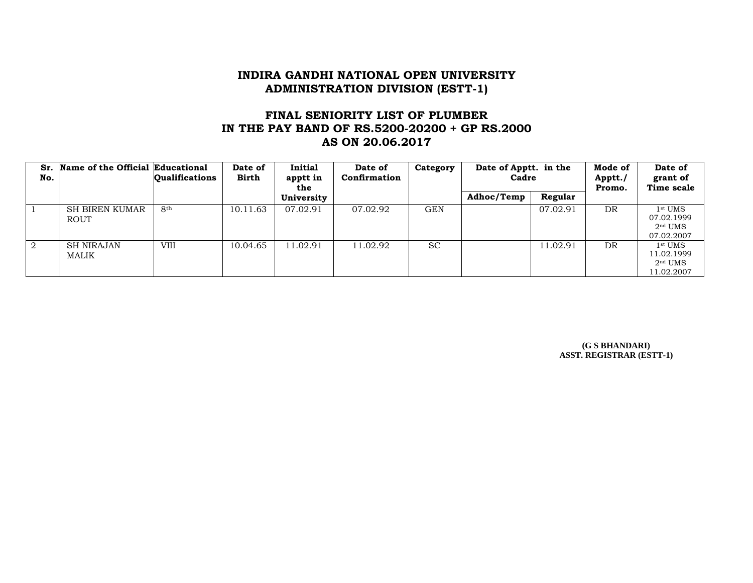# **FINAL SENIORITY LIST OF PLUMBER IN THE PAY BAND OF RS.5200-20200 + GP RS.2000 AS ON 20.06.2017**

| Sr.<br>No. | Name of the Official Educational | <b>Qualifications</b> | Date of<br><b>Birth</b> | Initial<br>apptt in<br>the | Date of<br>Confirmation | Category   | Date of Apptt. in the<br>Cadre |          | Mode of<br>Apptt./<br>Promo. | Date of<br>grant of<br>Time scale                  |
|------------|----------------------------------|-----------------------|-------------------------|----------------------------|-------------------------|------------|--------------------------------|----------|------------------------------|----------------------------------------------------|
|            |                                  |                       |                         | University                 |                         |            | Adhoc/Temp                     | Regular  |                              |                                                    |
|            | SH BIREN KUMAR<br><b>ROUT</b>    | 8th                   | 10.11.63                | 07.02.91                   | 07.02.92                | <b>GEN</b> |                                | 07.02.91 | DR                           | $1st$ UMS<br>07.02.1999<br>$2nd$ UMS<br>07.02.2007 |
| $\sqrt{2}$ | <b>SH NIRAJAN</b><br>MALIK       | <b>VIII</b>           | 10.04.65                | 11.02.91                   | 11.02.92                | <b>SC</b>  |                                | 11.02.91 | DR                           | $1st$ UMS<br>11.02.1999<br>$2nd$ UMS<br>11.02.2007 |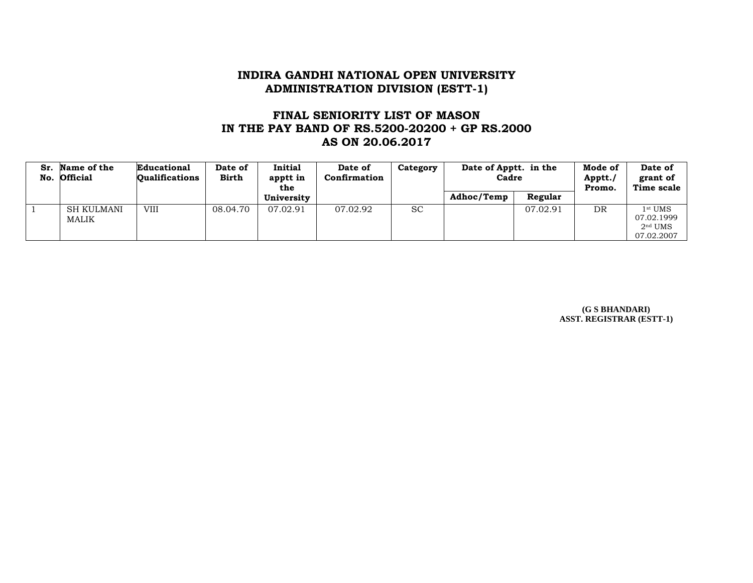# **FINAL SENIORITY LIST OF MASON IN THE PAY BAND OF RS.5200-20200 + GP RS.2000 AS ON 20.06.2017**

| Sr.<br>No. | Name of the<br><b>Official</b> | Educational<br><b>Oualifications</b> | Date of<br><b>Birth</b> | Initial<br>apptt in<br>the | Date of<br>Confirmation | Category  | Date of Apptt. in the<br>Cadre |          | Mode of<br>Apptt./<br>Promo. | Date of<br>grant of<br>Time scale                  |
|------------|--------------------------------|--------------------------------------|-------------------------|----------------------------|-------------------------|-----------|--------------------------------|----------|------------------------------|----------------------------------------------------|
|            |                                |                                      |                         | University                 |                         |           | Adhoc/Temp                     | Regular  |                              |                                                    |
|            | <b>SH KULMANI</b><br>MALIK     | VIII                                 | 08.04.70                | 07.02.91                   | 07.02.92                | <b>SC</b> |                                | 07.02.91 | DR                           | $1st$ UMS<br>07.02.1999<br>$2nd$ UMS<br>07.02.2007 |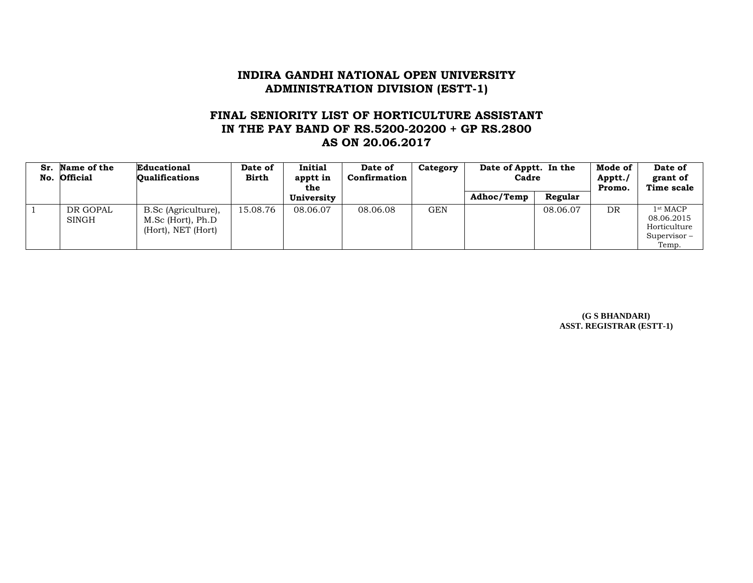## **FINAL SENIORITY LIST OF HORTICULTURE ASSISTANT IN THE PAY BAND OF RS.5200-20200 + GP RS.2800 AS ON 20.06.2017**

| Sr. | <b>Name of the</b><br>No. Official | Educational<br><b>Oualifications</b>                           | Date of<br><b>Birth</b> | Initial<br>apptt in<br>the | Date of<br>Confirmation | Category | Date of Apptt. In the<br>Cadre |          | Mode of<br>Apptt./<br>Promo. | Date of<br>grant of<br>Time scale                                          |
|-----|------------------------------------|----------------------------------------------------------------|-------------------------|----------------------------|-------------------------|----------|--------------------------------|----------|------------------------------|----------------------------------------------------------------------------|
|     |                                    |                                                                |                         | University                 |                         |          | Adhoc/Temp                     | Regular  |                              |                                                                            |
|     | DR GOPAL<br><b>SINGH</b>           | B.Sc (Agriculture),<br>M.Sc (Hort), Ph.D<br>(Hort), NET (Hort) | 15.08.76                | 08.06.07                   | 08.06.08                | GEN      |                                | 08.06.07 | DR                           | 1 <sup>st</sup> MACP<br>08.06.2015<br>Horticulture<br>Supervisor-<br>Temp. |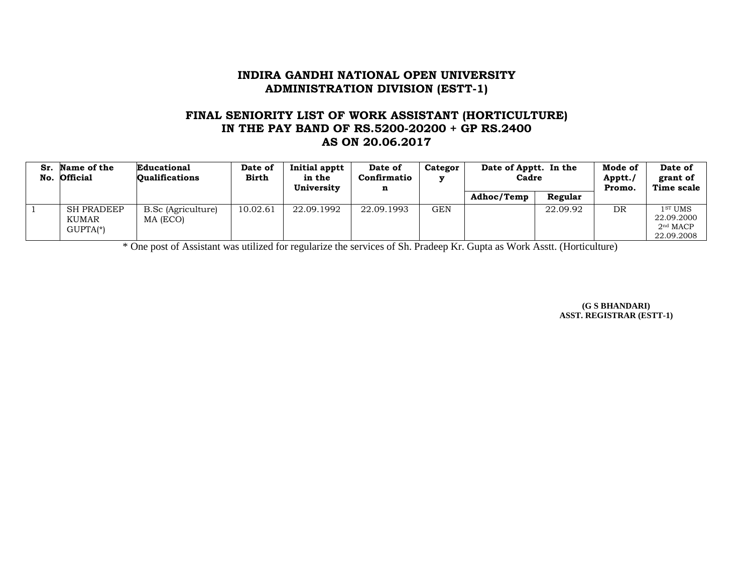## **FINAL SENIORITY LIST OF WORK ASSISTANT (HORTICULTURE) IN THE PAY BAND OF RS.5200-20200 + GP RS.2400 AS ON 20.06.2017**

| Sr. | Name of the<br>No. Official              | Educational<br><b>Oualifications</b> | Date of<br>Birth | Initial apptt<br>in the<br>Universitv | Date of<br>Confirmatio<br>$\mathbf n$ | Categor | Date of Apptt. In the<br>Cadre |          | Mode of<br>Apptt./<br>Promo. | Date of<br>grant of<br>Time scale                                       |
|-----|------------------------------------------|--------------------------------------|------------------|---------------------------------------|---------------------------------------|---------|--------------------------------|----------|------------------------------|-------------------------------------------------------------------------|
|     |                                          |                                      |                  |                                       |                                       |         | Adhoc/Temp                     | Regular  |                              |                                                                         |
|     | <b>SH PRADEEP</b><br>KUMAR<br>$GUPTA(*)$ | B.Sc (Agriculture)<br>MA (ECO)       | 10.02.61         | 22.09.1992                            | 22.09.1993                            | GEN     |                                | 22.09.92 | DR                           | 1 <sup>ST</sup> UMS<br>22.09.2000<br>2 <sup>nd</sup> MACP<br>22.09.2008 |

\* One post of Assistant was utilized for regularize the services of Sh. Pradeep Kr. Gupta as Work Asstt. (Horticulture)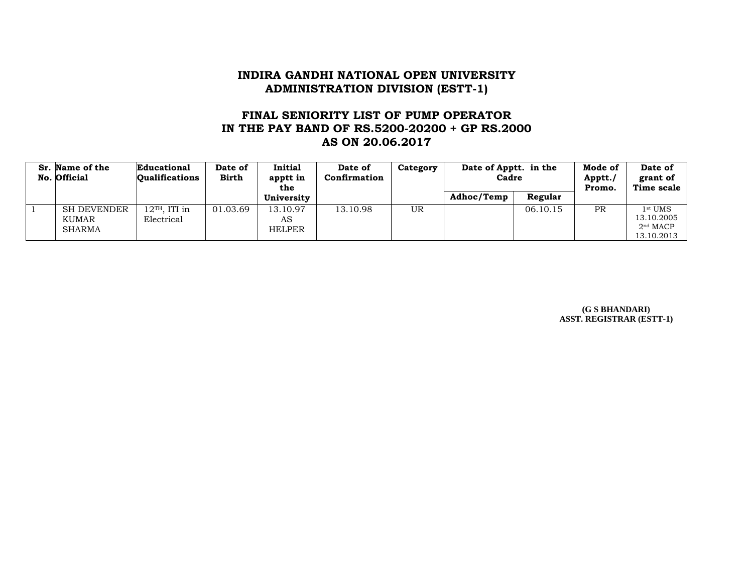# **FINAL SENIORITY LIST OF PUMP OPERATOR IN THE PAY BAND OF RS.5200-20200 + GP RS.2000 AS ON 20.06.2017**

| Sr. Name of the<br>No. Official              | Educational<br><b>Oualifications</b>      | Date of<br><b>Birth</b> | <b>Initial</b><br>apptt in<br>the | Date of<br>Confirmation | Category | Date of Apptt. in the<br>Cadre |          | Mode of<br>Apptt./<br>Promo. | Date of<br>grant of<br>Time scale                             |
|----------------------------------------------|-------------------------------------------|-------------------------|-----------------------------------|-------------------------|----------|--------------------------------|----------|------------------------------|---------------------------------------------------------------|
|                                              |                                           |                         | University                        |                         |          | Adhoc/Temp                     | Regular  |                              |                                                               |
| <b>SH DEVENDER</b><br>KUMAR<br><b>SHARMA</b> | $12$ <sup>TH</sup> , ITI in<br>Electrical | 01.03.69                | 13.10.97<br>AS<br><b>HELPER</b>   | 13.10.98                | UR       |                                | 06.10.15 | <b>PR</b>                    | $1st$ UMS<br>13.10.2005<br>2 <sup>nd</sup> MACP<br>13.10.2013 |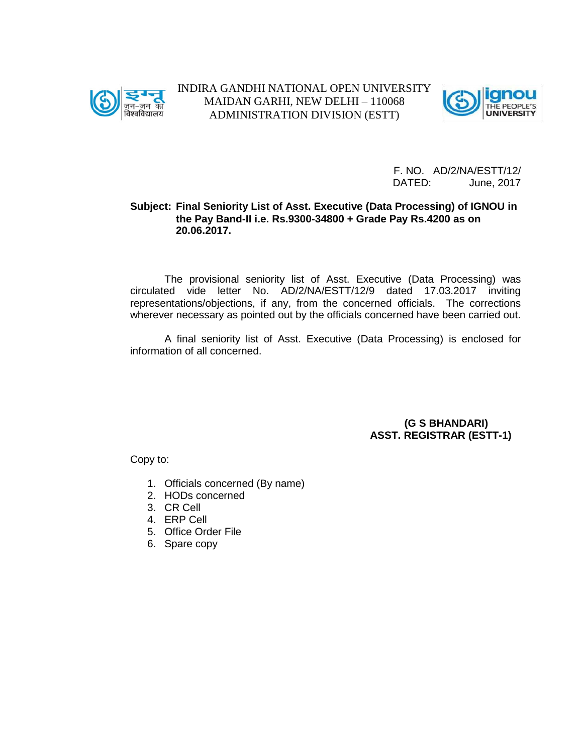



#### **Subject: Final Seniority List of Asst. Executive (Data Processing) of IGNOU in the Pay Band-II i.e. Rs.9300-34800 + Grade Pay Rs.4200 as on 20.06.2017.**

The provisional seniority list of Asst. Executive (Data Processing) was circulated vide letter No. AD/2/NA/ESTT/12/9 dated 17.03.2017 inviting representations/objections, if any, from the concerned officials. The corrections wherever necessary as pointed out by the officials concerned have been carried out.

A final seniority list of Asst. Executive (Data Processing) is enclosed for information of all concerned.

> **(G S BHANDARI) ASST. REGISTRAR (ESTT-1)**

- 1. Officials concerned (By name)
- 2. HODs concerned
- 3. CR Cell
- 4. ERP Cell
- 5. Office Order File
- 6. Spare copy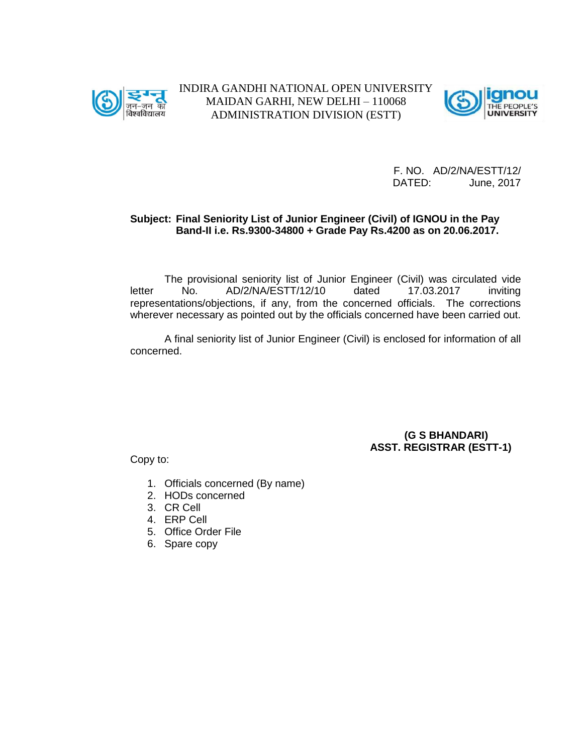



F. NO. AD/2/NA/ESTT/12/ DATED: June, 2017

#### **Subject: Final Seniority List of Junior Engineer (Civil) of IGNOU in the Pay Band-II i.e. Rs.9300-34800 + Grade Pay Rs.4200 as on 20.06.2017.**

The provisional seniority list of Junior Engineer (Civil) was circulated vide letter No. AD/2/NA/ESTT/12/10 dated 17.03.2017 inviting representations/objections, if any, from the concerned officials. The corrections wherever necessary as pointed out by the officials concerned have been carried out.

A final seniority list of Junior Engineer (Civil) is enclosed for information of all concerned.

#### **(G S BHANDARI) ASST. REGISTRAR (ESTT-1)**

- 1. Officials concerned (By name)
- 2. HODs concerned
- 3. CR Cell
- 4. ERP Cell
- 5. Office Order File
- 6. Spare copy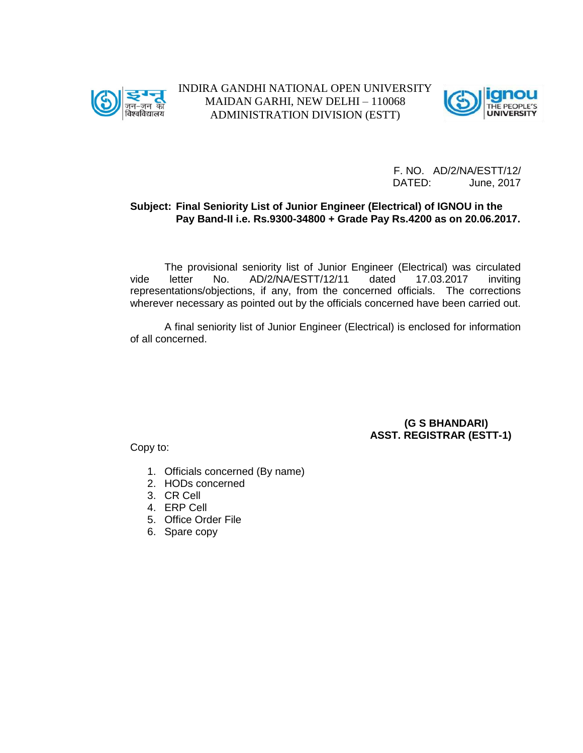



#### **Subject: Final Seniority List of Junior Engineer (Electrical) of IGNOU in the Pay Band-II i.e. Rs.9300-34800 + Grade Pay Rs.4200 as on 20.06.2017.**

The provisional seniority list of Junior Engineer (Electrical) was circulated vide letter No. AD/2/NA/ESTT/12/11 dated 17.03.2017 inviting representations/objections, if any, from the concerned officials. The corrections wherever necessary as pointed out by the officials concerned have been carried out.

A final seniority list of Junior Engineer (Electrical) is enclosed for information of all concerned.

> **(G S BHANDARI) ASST. REGISTRAR (ESTT-1)**

- 1. Officials concerned (By name)
- 2. HODs concerned
- 3. CR Cell
- 4. ERP Cell
- 5. Office Order File
- 6. Spare copy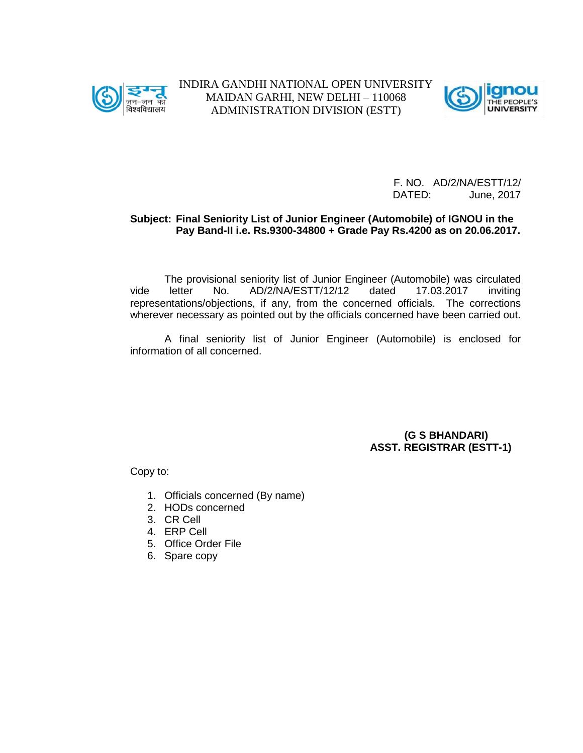



F. NO. AD/2/NA/ESTT/12/ DATED: June, 2017

#### **Subject: Final Seniority List of Junior Engineer (Automobile) of IGNOU in the Pay Band-II i.e. Rs.9300-34800 + Grade Pay Rs.4200 as on 20.06.2017.**

The provisional seniority list of Junior Engineer (Automobile) was circulated vide letter No. AD/2/NA/ESTT/12/12 dated 17.03.2017 inviting representations/objections, if any, from the concerned officials. The corrections wherever necessary as pointed out by the officials concerned have been carried out.

A final seniority list of Junior Engineer (Automobile) is enclosed for information of all concerned.

> **(G S BHANDARI) ASST. REGISTRAR (ESTT-1)**

- 1. Officials concerned (By name)
- 2. HODs concerned
- 3. CR Cell
- 4. ERP Cell
- 5. Office Order File
- 6. Spare copy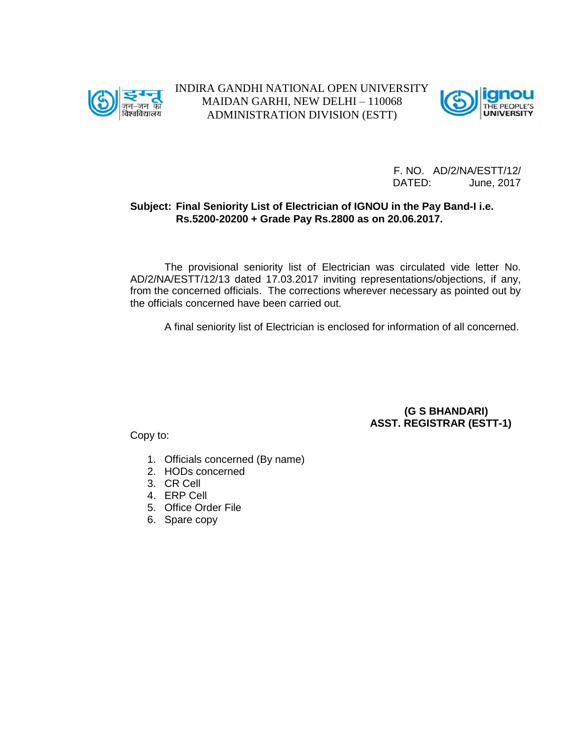



### **Subject: Final Seniority List of Electrician of IGNOU in the Pay Band-I i.e. Rs.5200-20200 + Grade Pay Rs.2800 as on 20.06.2017.**

The provisional seniority list of Electrician was circulated vide letter No. AD/2/NA/ESTT/12/13 dated 17.03.2017 inviting representations/objections, if any, from the concerned officials. The corrections wherever necessary as pointed out by the officials concerned have been carried out.

A final seniority list of Electrician is enclosed for information of all concerned.

**(G S BHANDARI) ASST. REGISTRAR (ESTT-1)**

- 1. Officials concerned (By name)
- 2. HODs concerned
- 3. CR Cell
- 4. ERP Cell
- 5. Office Order File
- 6. Spare copy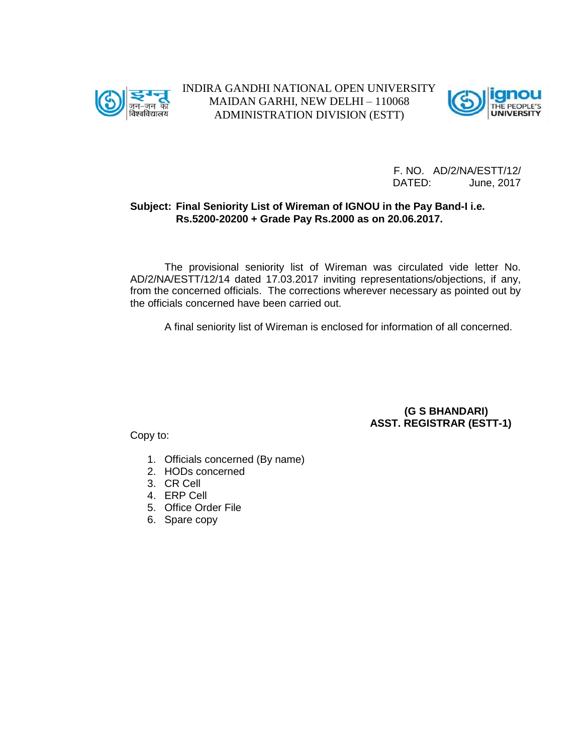



F. NO. AD/2/NA/ESTT/12/ DATED: June, 2017

#### **Subject: Final Seniority List of Wireman of IGNOU in the Pay Band-I i.e. Rs.5200-20200 + Grade Pay Rs.2000 as on 20.06.2017.**

The provisional seniority list of Wireman was circulated vide letter No. AD/2/NA/ESTT/12/14 dated 17.03.2017 inviting representations/objections, if any, from the concerned officials. The corrections wherever necessary as pointed out by the officials concerned have been carried out.

A final seniority list of Wireman is enclosed for information of all concerned.

**(G S BHANDARI) ASST. REGISTRAR (ESTT-1)**

- 1. Officials concerned (By name)
- 2. HODs concerned
- 3. CR Cell
- 4. ERP Cell
- 5. Office Order File
- 6. Spare copy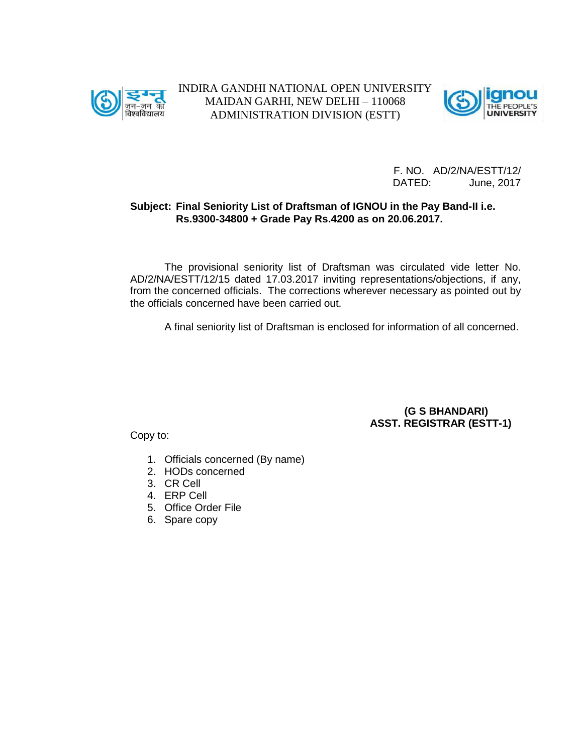



#### **Subject: Final Seniority List of Draftsman of IGNOU in the Pay Band-II i.e. Rs.9300-34800 + Grade Pay Rs.4200 as on 20.06.2017.**

The provisional seniority list of Draftsman was circulated vide letter No. AD/2/NA/ESTT/12/15 dated 17.03.2017 inviting representations/objections, if any, from the concerned officials. The corrections wherever necessary as pointed out by the officials concerned have been carried out.

A final seniority list of Draftsman is enclosed for information of all concerned.

**(G S BHANDARI) ASST. REGISTRAR (ESTT-1)**

- 1. Officials concerned (By name)
- 2. HODs concerned
- 3. CR Cell
- 4. ERP Cell
- 5. Office Order File
- 6. Spare copy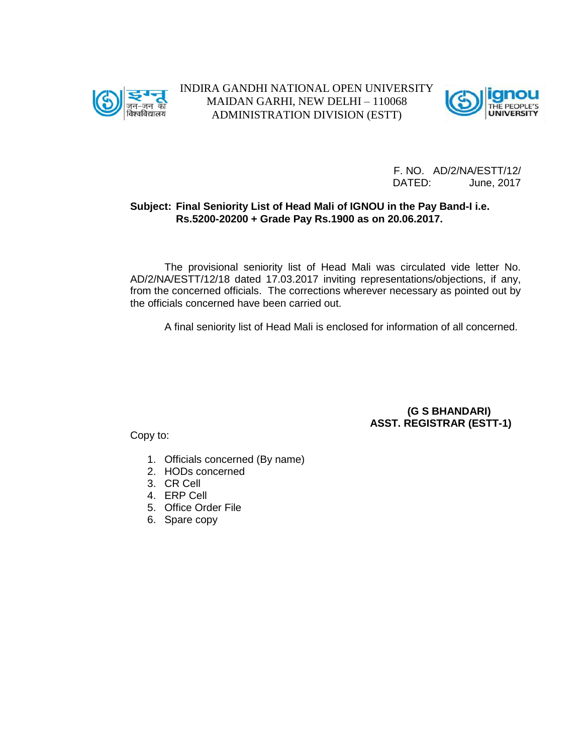



F. NO. AD/2/NA/ESTT/12/ DATED: June, 2017

#### **Subject: Final Seniority List of Head Mali of IGNOU in the Pay Band-I i.e. Rs.5200-20200 + Grade Pay Rs.1900 as on 20.06.2017.**

The provisional seniority list of Head Mali was circulated vide letter No. AD/2/NA/ESTT/12/18 dated 17.03.2017 inviting representations/objections, if any, from the concerned officials. The corrections wherever necessary as pointed out by the officials concerned have been carried out.

A final seniority list of Head Mali is enclosed for information of all concerned.

**(G S BHANDARI) ASST. REGISTRAR (ESTT-1)**

- 1. Officials concerned (By name)
- 2. HODs concerned
- 3. CR Cell
- 4. ERP Cell
- 5. Office Order File
- 6. Spare copy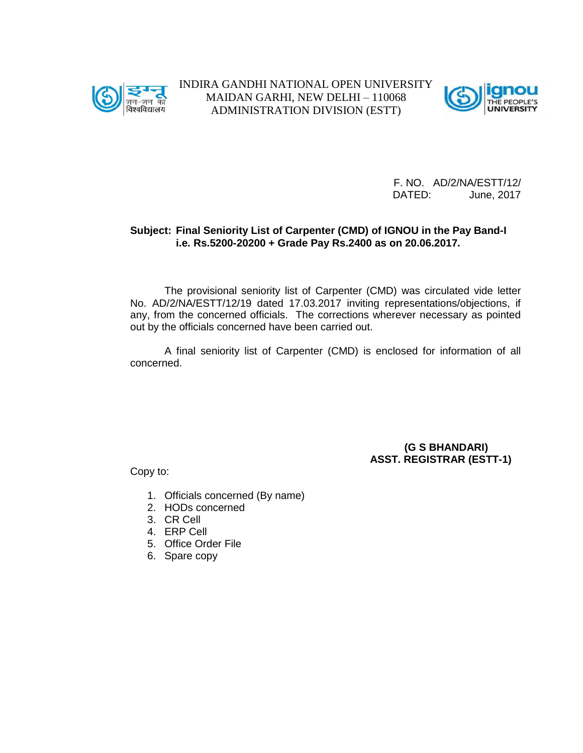



F. NO. AD/2/NA/ESTT/12/ DATED: June, 2017

#### **Subject: Final Seniority List of Carpenter (CMD) of IGNOU in the Pay Band-I i.e. Rs.5200-20200 + Grade Pay Rs.2400 as on 20.06.2017.**

The provisional seniority list of Carpenter (CMD) was circulated vide letter No. AD/2/NA/ESTT/12/19 dated 17.03.2017 inviting representations/objections, if any, from the concerned officials. The corrections wherever necessary as pointed out by the officials concerned have been carried out.

A final seniority list of Carpenter (CMD) is enclosed for information of all concerned.

#### **(G S BHANDARI) ASST. REGISTRAR (ESTT-1)**

- 1. Officials concerned (By name)
- 2. HODs concerned
- 3. CR Cell
- 4. ERP Cell
- 5. Office Order File
- 6. Spare copy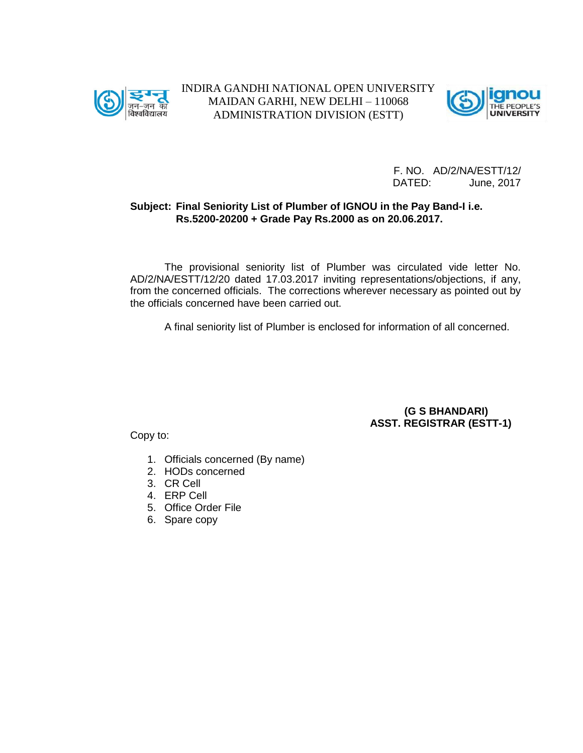



F. NO. AD/2/NA/ESTT/12/ DATED: June, 2017

#### **Subject: Final Seniority List of Plumber of IGNOU in the Pay Band-I i.e. Rs.5200-20200 + Grade Pay Rs.2000 as on 20.06.2017.**

The provisional seniority list of Plumber was circulated vide letter No. AD/2/NA/ESTT/12/20 dated 17.03.2017 inviting representations/objections, if any, from the concerned officials. The corrections wherever necessary as pointed out by the officials concerned have been carried out.

A final seniority list of Plumber is enclosed for information of all concerned.

**(G S BHANDARI) ASST. REGISTRAR (ESTT-1)**

- 1. Officials concerned (By name)
- 2. HODs concerned
- 3. CR Cell
- 4. ERP Cell
- 5. Office Order File
- 6. Spare copy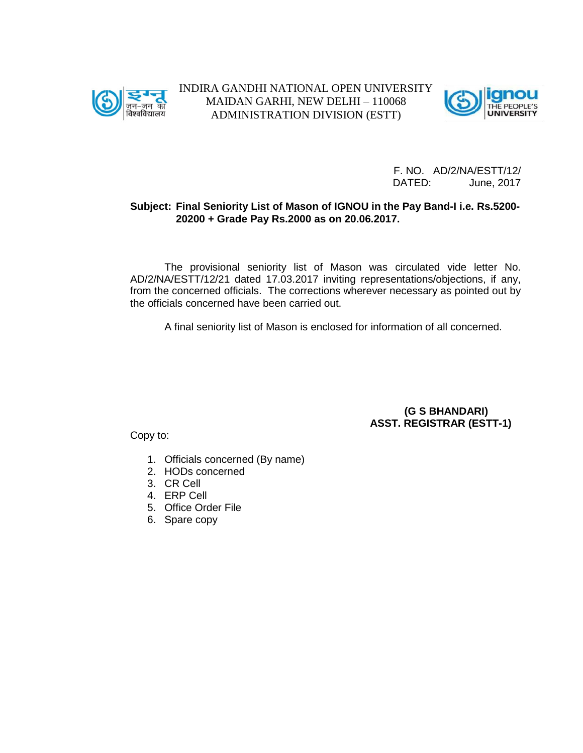



### **Subject: Final Seniority List of Mason of IGNOU in the Pay Band-I i.e. Rs.5200- 20200 + Grade Pay Rs.2000 as on 20.06.2017.**

The provisional seniority list of Mason was circulated vide letter No. AD/2/NA/ESTT/12/21 dated 17.03.2017 inviting representations/objections, if any, from the concerned officials. The corrections wherever necessary as pointed out by the officials concerned have been carried out.

A final seniority list of Mason is enclosed for information of all concerned.

**(G S BHANDARI) ASST. REGISTRAR (ESTT-1)**

- 1. Officials concerned (By name)
- 2. HODs concerned
- 3. CR Cell
- 4. ERP Cell
- 5. Office Order File
- 6. Spare copy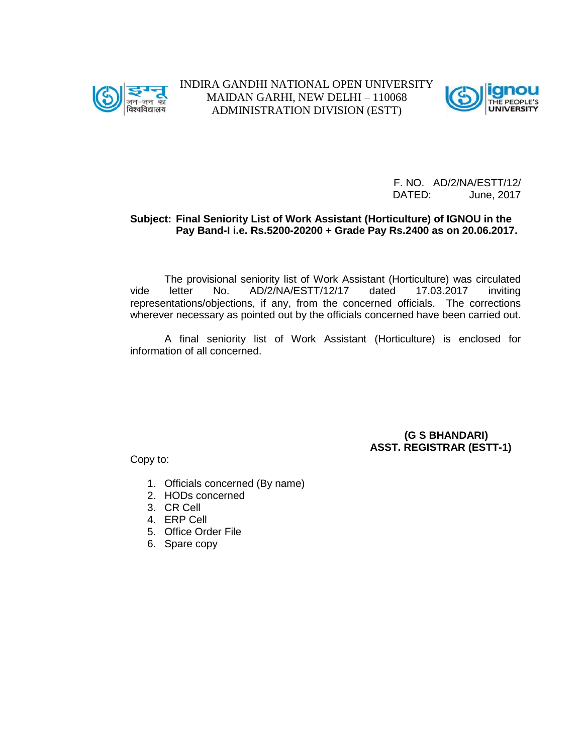



F. NO. AD/2/NA/ESTT/12/ DATED: June, 2017

#### **Subject: Final Seniority List of Work Assistant (Horticulture) of IGNOU in the Pay Band-I i.e. Rs.5200-20200 + Grade Pay Rs.2400 as on 20.06.2017.**

The provisional seniority list of Work Assistant (Horticulture) was circulated vide letter No. AD/2/NA/ESTT/12/17 dated 17.03.2017 inviting representations/objections, if any, from the concerned officials. The corrections wherever necessary as pointed out by the officials concerned have been carried out.

A final seniority list of Work Assistant (Horticulture) is enclosed for information of all concerned.

#### **(G S BHANDARI) ASST. REGISTRAR (ESTT-1)**

- 1. Officials concerned (By name)
- 2. HODs concerned
- 3. CR Cell
- 4. ERP Cell
- 5. Office Order File
- 6. Spare copy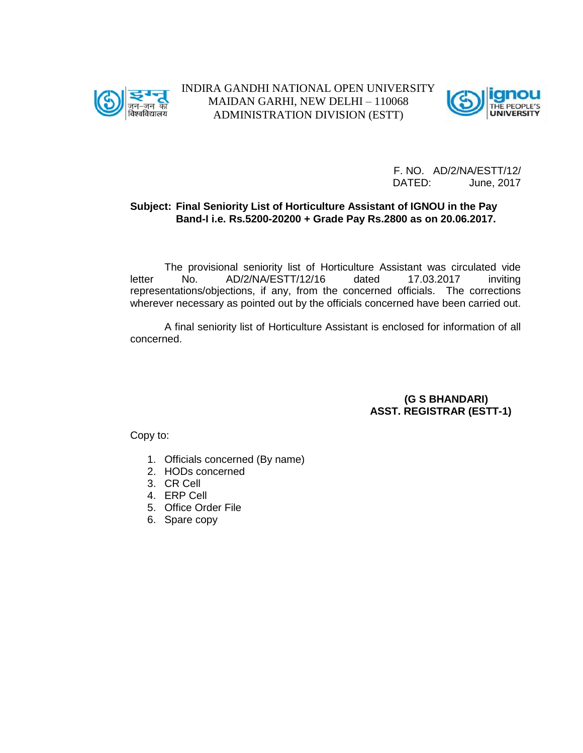



#### **Subject: Final Seniority List of Horticulture Assistant of IGNOU in the Pay Band-I i.e. Rs.5200-20200 + Grade Pay Rs.2800 as on 20.06.2017.**

The provisional seniority list of Horticulture Assistant was circulated vide letter No. AD/2/NA/ESTT/12/16 dated 17.03.2017 inviting representations/objections, if any, from the concerned officials. The corrections wherever necessary as pointed out by the officials concerned have been carried out.

A final seniority list of Horticulture Assistant is enclosed for information of all concerned.

> **(G S BHANDARI) ASST. REGISTRAR (ESTT-1)**

- 1. Officials concerned (By name)
- 2. HODs concerned
- 3. CR Cell
- 4. ERP Cell
- 5. Office Order File
- 6. Spare copy